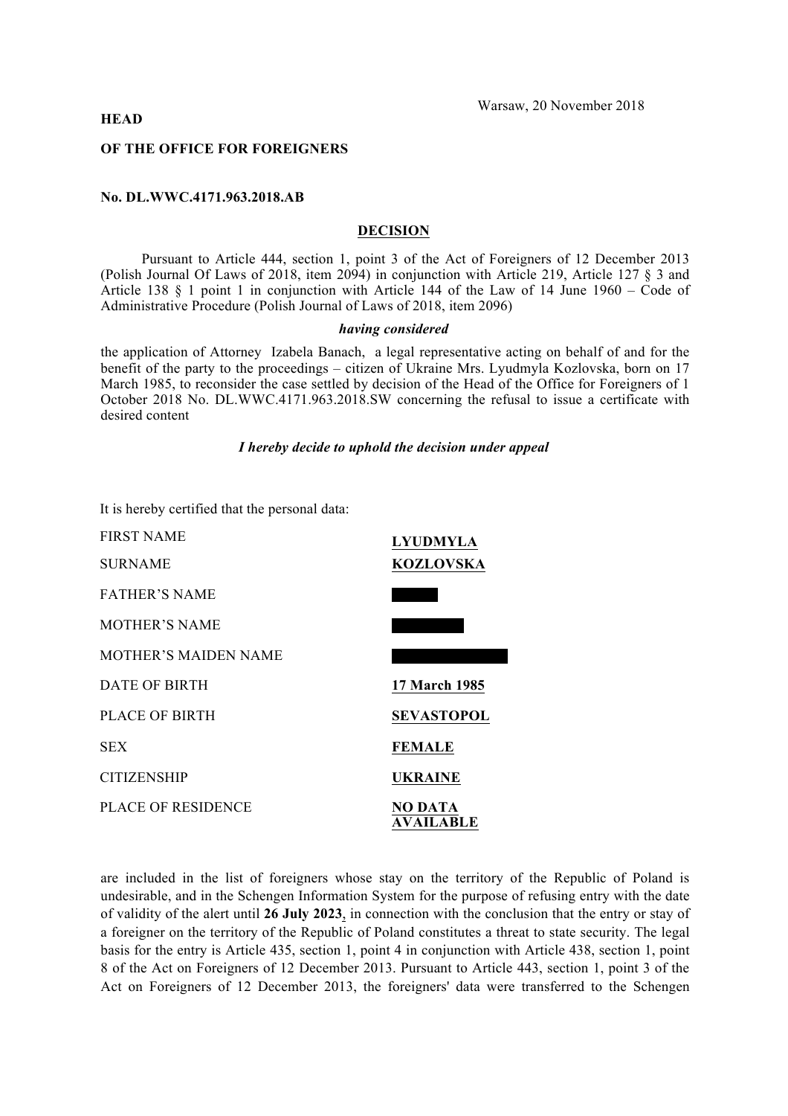### **HEAD**

#### **OF THE OFFICE FOR FOREIGNERS**

### **No. DL.WWC.4171.963.2018.AB**

## **DECISION**

Pursuant to Article 444, section 1, point 3 of the Act of Foreigners of 12 December 2013 (Polish Journal Of Laws of 2018, item 2094) in conjunction with Article 219, Article 127 § 3 and Article 138 § 1 point 1 in conjunction with Article 144 of the Law of 14 June 1960 – Code of Administrative Procedure (Polish Journal of Laws of 2018, item 2096)

#### *having considered*

the application of Attorney Izabela Banach, a legal representative acting on behalf of and for the benefit of the party to the proceedings – citizen of Ukraine Mrs. Lyudmyla Kozlovska, born on 17 March 1985, to reconsider the case settled by decision of the Head of the Office for Foreigners of 1 October 2018 No. DL.WWC.4171.963.2018.SW concerning the refusal to issue a certificate with desired content

### *I hereby decide to uphold the decision under appeal*

It is hereby certified that the personal data:

| <b>FIRST NAME</b>           | <b>LYUDMYLA</b>             |
|-----------------------------|-----------------------------|
| <b>SURNAME</b>              | <b>KOZLOVSKA</b>            |
| <b>FATHER'S NAME</b>        |                             |
| <b>MOTHER'S NAME</b>        |                             |
| <b>MOTHER'S MAIDEN NAME</b> |                             |
| DATE OF BIRTH               | 17 March 1985               |
| PLACE OF BIRTH              | <b>SEVASTOPOL</b>           |
| <b>SEX</b>                  | <b>FEMALE</b>               |
| <b>CITIZENSHIP</b>          | UKRAINE                     |
| <b>PLACE OF RESIDENCE</b>   | NO DATA<br><b>AVAILABLE</b> |

are included in the list of foreigners whose stay on the territory of the Republic of Poland is undesirable, and in the Schengen Information System for the purpose of refusing entry with the date of validity of the alert until **26 July 2023**, in connection with the conclusion that the entry or stay of a foreigner on the territory of the Republic of Poland constitutes a threat to state security. The legal basis for the entry is Article 435, section 1, point 4 in conjunction with Article 438, section 1, point 8 of the Act on Foreigners of 12 December 2013. Pursuant to Article 443, section 1, point 3 of the Act on Foreigners of 12 December 2013, the foreigners' data were transferred to the Schengen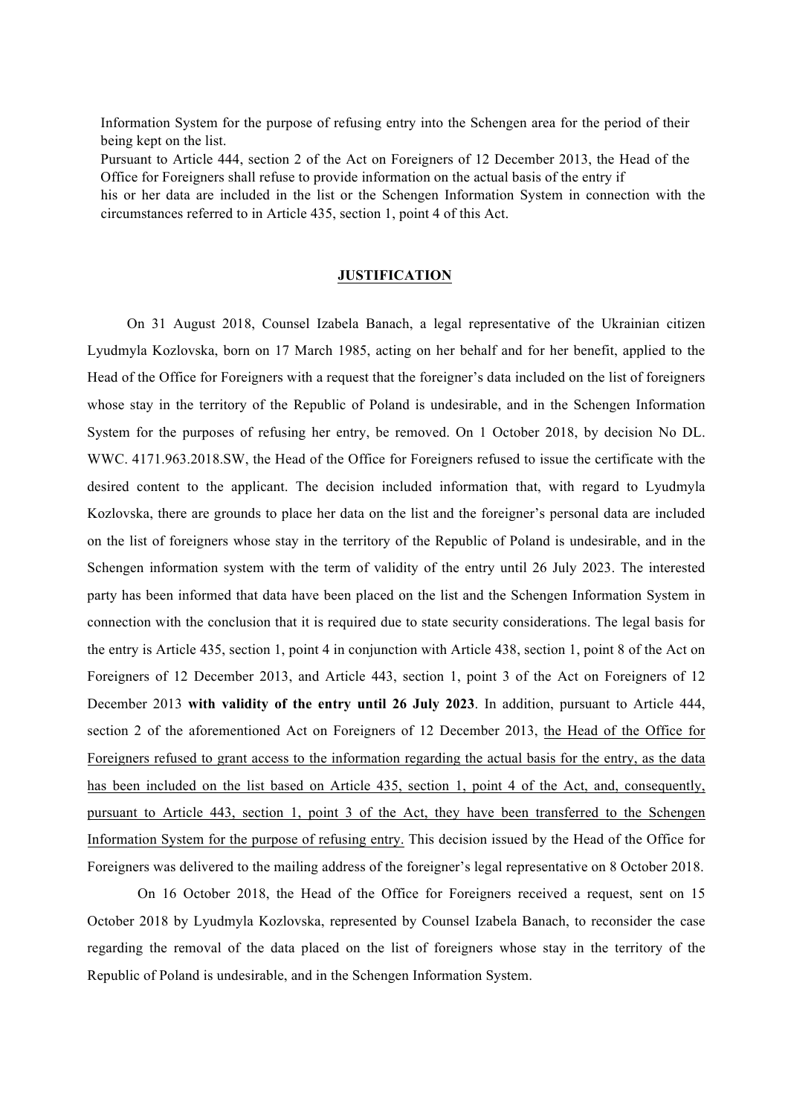Information System for the purpose of refusing entry into the Schengen area for the period of their being kept on the list.

Pursuant to Article 444, section 2 of the Act on Foreigners of 12 December 2013, the Head of the Office for Foreigners shall refuse to provide information on the actual basis of the entry if his or her data are included in the list or the Schengen Information System in connection with the circumstances referred to in Article 435, section 1, point 4 of this Act.

# **JUSTIFICATION**

On 31 August 2018, Counsel Izabela Banach, a legal representative of the Ukrainian citizen Lyudmyla Kozlovska, born on 17 March 1985, acting on her behalf and for her benefit, applied to the Head of the Office for Foreigners with a request that the foreigner's data included on the list of foreigners whose stay in the territory of the Republic of Poland is undesirable, and in the Schengen Information System for the purposes of refusing her entry, be removed. On 1 October 2018, by decision No DL. WWC. 4171.963.2018.SW, the Head of the Office for Foreigners refused to issue the certificate with the desired content to the applicant. The decision included information that, with regard to Lyudmyla Kozlovska, there are grounds to place her data on the list and the foreigner's personal data are included on the list of foreigners whose stay in the territory of the Republic of Poland is undesirable, and in the Schengen information system with the term of validity of the entry until 26 July 2023. The interested party has been informed that data have been placed on the list and the Schengen Information System in connection with the conclusion that it is required due to state security considerations. The legal basis for the entry is Article 435, section 1, point 4 in conjunction with Article 438, section 1, point 8 of the Act on Foreigners of 12 December 2013, and Article 443, section 1, point 3 of the Act on Foreigners of 12 December 2013 **with validity of the entry until 26 July 2023**. In addition, pursuant to Article 444, section 2 of the aforementioned Act on Foreigners of 12 December 2013, the Head of the Office for Foreigners refused to grant access to the information regarding the actual basis for the entry, as the data has been included on the list based on Article 435, section 1, point 4 of the Act, and, consequently, pursuant to Article 443, section 1, point 3 of the Act, they have been transferred to the Schengen Information System for the purpose of refusing entry. This decision issued by the Head of the Office for Foreigners was delivered to the mailing address of the foreigner's legal representative on 8 October 2018.

On 16 October 2018, the Head of the Office for Foreigners received a request, sent on 15 October 2018 by Lyudmyla Kozlovska, represented by Counsel Izabela Banach, to reconsider the case regarding the removal of the data placed on the list of foreigners whose stay in the territory of the Republic of Poland is undesirable, and in the Schengen Information System.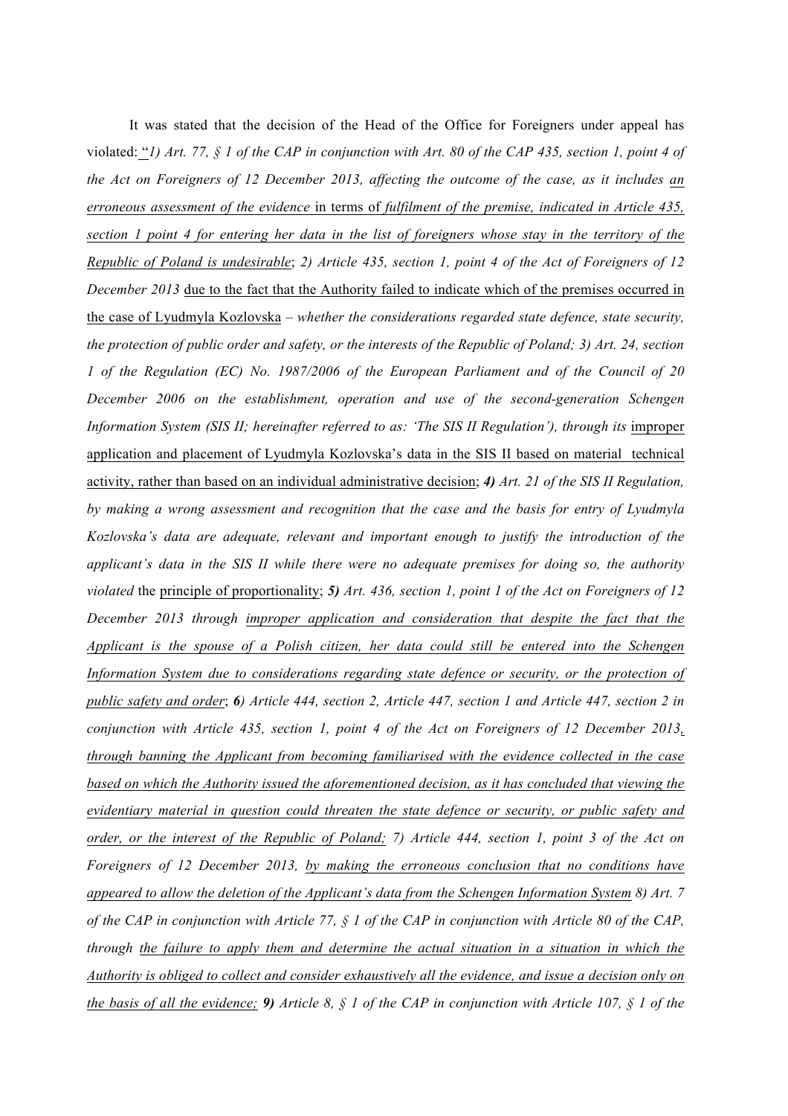It was stated that the decision of the Head of the Office for Foreigners under appeal has violated: "*1) Art. 77, § 1 of the CAP in conjunction with Art. 80 of the CAP 435, section 1, point 4 of the Act on Foreigners of 12 December 2013, affecting the outcome of the case, as it includes an erroneous assessment of the evidence* in terms of *fulfilment of the premise, indicated in Article 435, section 1 point 4 for entering her data in the list of foreigners whose stay in the territory of the Republic of Poland is undesirable*; *2) Article 435, section 1, point 4 of the Act of Foreigners of 12 December 2013* due to the fact that the Authority failed to indicate which of the premises occurred in the case of Lyudmyla Kozlovska *– whether the considerations regarded state defence, state security, the protection of public order and safety, or the interests of the Republic of Poland; 3) Art. 24, section 1 of the Regulation (EC) No. 1987/2006 of the European Parliament and of the Council of 20 December 2006 on the establishment, operation and use of the second-generation Schengen Information System (SIS II; hereinafter referred to as: 'The SIS II Regulation'), through its improper* application and placement of Lyudmyla Kozlovska's data in the SIS II based on material technical activity, rather than based on an individual administrative decision; *4) Art. 21 of the SIS II Regulation, by making a wrong assessment and recognition that the case and the basis for entry of Lyudmyla Kozlovska's data are adequate, relevant and important enough to justify the introduction of the applicant's data in the SIS II while there were no adequate premises for doing so, the authority violated* the principle of proportionality; *5) Art. 436, section 1, point 1 of the Act on Foreigners of 12 December 2013 through improper application and consideration that despite the fact that the Applicant is the spouse of a Polish citizen, her data could still be entered into the Schengen Information System due to considerations regarding state defence or security, or the protection of public safety and order*; *6) Article 444, section 2, Article 447, section 1 and Article 447, section 2 in conjunction with Article 435, section 1, point 4 of the Act on Foreigners of 12 December 2013, through banning the Applicant from becoming familiarised with the evidence collected in the case based on which the Authority issued the aforementioned decision, as it has concluded that viewing the evidentiary material in question could threaten the state defence or security, or public safety and order, or the interest of the Republic of Poland; 7) Article 444, section 1, point 3 of the Act on Foreigners of 12 December 2013, by making the erroneous conclusion that no conditions have appeared to allow the deletion of the Applicant's data from the Schengen Information System 8) Art. 7 of the CAP in conjunction with Article 77, § 1 of the CAP in conjunction with Article 80 of the CAP, through the failure to apply them and determine the actual situation in a situation in which the Authority is obliged to collect and consider exhaustively all the evidence, and issue a decision only on the basis of all the evidence; 9) Article 8, § 1 of the CAP in conjunction with Article 107, § 1 of the*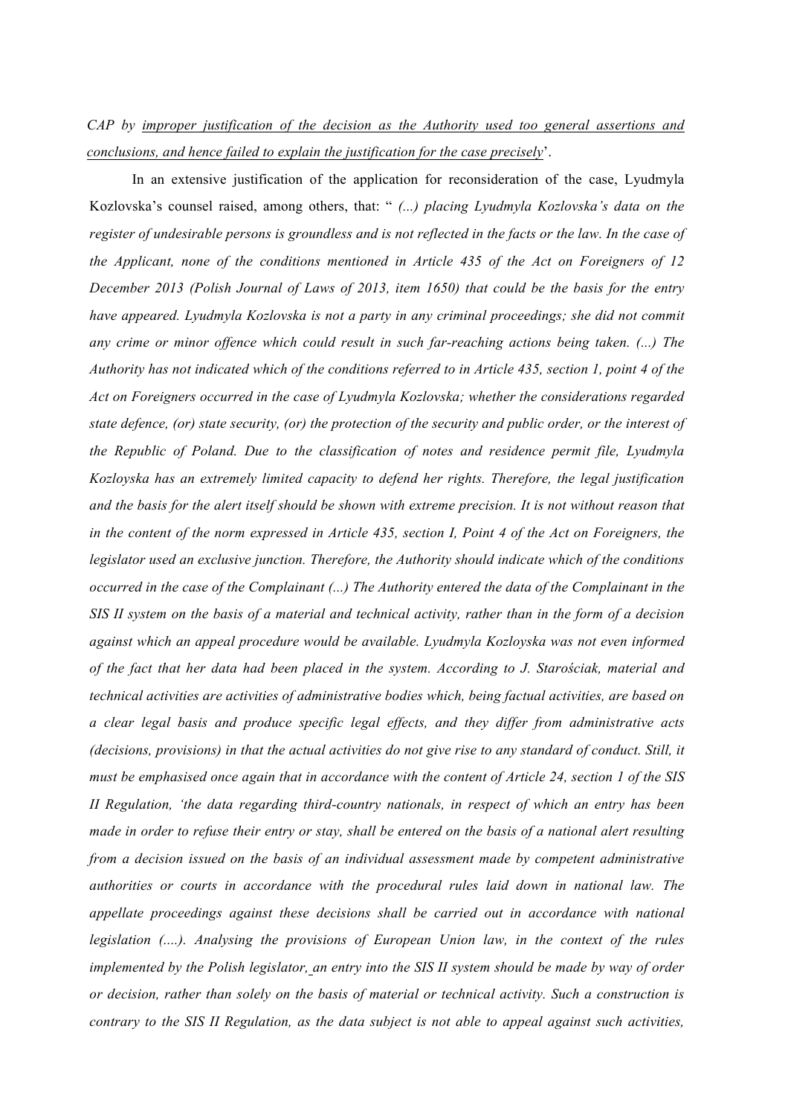# *CAP by improper justification of the decision as the Authority used too general assertions and conclusions, and hence failed to explain the justification for the case precisely*'.

In an extensive justification of the application for reconsideration of the case, Lyudmyla Kozlovska's counsel raised, among others, that: " *(...) placing Lyudmyla Kozlovska's data on the register of undesirable persons is groundless and is not reflected in the facts or the law. In the case of the Applicant, none of the conditions mentioned in Article 435 of the Act on Foreigners of 12 December 2013 (Polish Journal of Laws of 2013, item 1650) that could be the basis for the entry*  have appeared. Lyudmyla Kozlovska is not a party in any criminal proceedings; she did not commit *any crime or minor offence which could result in such far-reaching actions being taken. (...) The Authority has not indicated which of the conditions referred to in Article 435, section 1, point 4 of the Act on Foreigners occurred in the case of Lyudmyla Kozlovska; whether the considerations regarded state defence, (or) state security, (or) the protection of the security and public order, or the interest of the Republic of Poland. Due to the classification of notes and residence permit file, Lyudmyla Kozloyska has an extremely limited capacity to defend her rights. Therefore, the legal justification and the basis for the alert itself should be shown with extreme precision. It is not without reason that in the content of the norm expressed in Article 435, section I, Point 4 of the Act on Foreigners, the legislator used an exclusive junction. Therefore, the Authority should indicate which of the conditions occurred in the case of the Complainant (...) The Authority entered the data of the Complainant in the SIS II system on the basis of a material and technical activity, rather than in the form of a decision against which an appeal procedure would be available. Lyudmyla Kozloyska was not even informed of the fact that her data had been placed in the system. According to J. Starościak, material and technical activities are activities of administrative bodies which, being factual activities, are based on a clear legal basis and produce specific legal effects, and they differ from administrative acts (decisions, provisions) in that the actual activities do not give rise to any standard of conduct. Still, it must be emphasised once again that in accordance with the content of Article 24, section 1 of the SIS II Regulation, 'the data regarding third-country nationals, in respect of which an entry has been made in order to refuse their entry or stay, shall be entered on the basis of a national alert resulting from a decision issued on the basis of an individual assessment made by competent administrative authorities or courts in accordance with the procedural rules laid down in national law. The appellate proceedings against these decisions shall be carried out in accordance with national legislation (....). Analysing the provisions of European Union law, in the context of the rules implemented by the Polish legislator, an entry into the SIS II system should be made by way of order or decision, rather than solely on the basis of material or technical activity. Such a construction is contrary to the SIS II Regulation, as the data subject is not able to appeal against such activities,*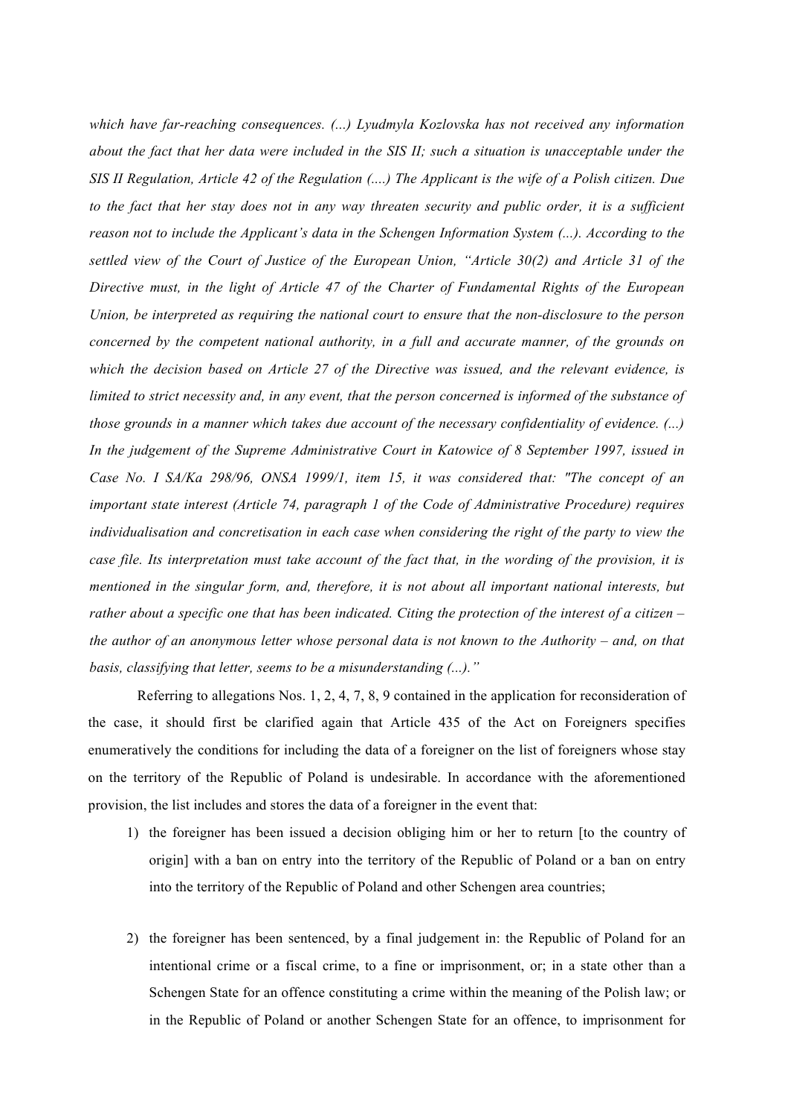*which have far-reaching consequences. (...) Lyudmyla Kozlovska has not received any information about the fact that her data were included in the SIS II; such a situation is unacceptable under the SIS II Regulation, Article 42 of the Regulation (....) The Applicant is the wife of a Polish citizen. Due to the fact that her stay does not in any way threaten security and public order, it is a sufficient reason not to include the Applicant's data in the Schengen Information System (...). According to the settled view of the Court of Justice of the European Union, "Article 30(2) and Article 31 of the Directive must, in the light of Article 47 of the Charter of Fundamental Rights of the European Union, be interpreted as requiring the national court to ensure that the non-disclosure to the person concerned by the competent national authority, in a full and accurate manner, of the grounds on which the decision based on Article 27 of the Directive was issued, and the relevant evidence, is limited to strict necessity and, in any event, that the person concerned is informed of the substance of those grounds in a manner which takes due account of the necessary confidentiality of evidence. (...) In the judgement of the Supreme Administrative Court in Katowice of 8 September 1997, issued in Case No. I SA/Ka 298/96, ONSA 1999/1, item 15, it was considered that: "The concept of an important state interest (Article 74, paragraph 1 of the Code of Administrative Procedure) requires individualisation and concretisation in each case when considering the right of the party to view the case file. Its interpretation must take account of the fact that, in the wording of the provision, it is mentioned in the singular form, and, therefore, it is not about all important national interests, but rather about a specific one that has been indicated. Citing the protection of the interest of a citizen – the author of an anonymous letter whose personal data is not known to the Authority – and, on that basis, classifying that letter, seems to be a misunderstanding (...)."*

Referring to allegations Nos. 1, 2, 4, 7, 8, 9 contained in the application for reconsideration of the case, it should first be clarified again that Article 435 of the Act on Foreigners specifies enumeratively the conditions for including the data of a foreigner on the list of foreigners whose stay on the territory of the Republic of Poland is undesirable. In accordance with the aforementioned provision, the list includes and stores the data of a foreigner in the event that:

- 1) the foreigner has been issued a decision obliging him or her to return [to the country of origin] with a ban on entry into the territory of the Republic of Poland or a ban on entry into the territory of the Republic of Poland and other Schengen area countries;
- 2) the foreigner has been sentenced, by a final judgement in: the Republic of Poland for an intentional crime or a fiscal crime, to a fine or imprisonment, or; in a state other than a Schengen State for an offence constituting a crime within the meaning of the Polish law; or in the Republic of Poland or another Schengen State for an offence, to imprisonment for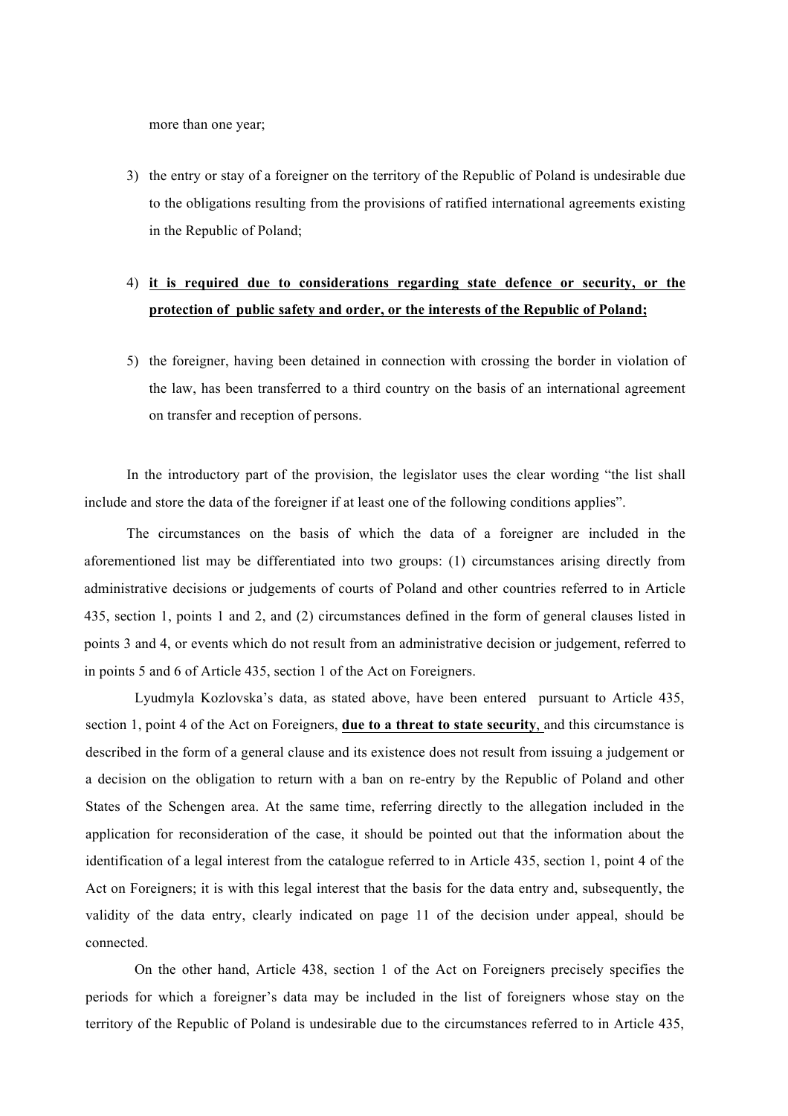more than one year;

3) the entry or stay of a foreigner on the territory of the Republic of Poland is undesirable due to the obligations resulting from the provisions of ratified international agreements existing in the Republic of Poland;

# 4) **it is required due to considerations regarding state defence or security, or the protection of public safety and order, or the interests of the Republic of Poland;**

5) the foreigner, having been detained in connection with crossing the border in violation of the law, has been transferred to a third country on the basis of an international agreement on transfer and reception of persons.

In the introductory part of the provision, the legislator uses the clear wording "the list shall include and store the data of the foreigner if at least one of the following conditions applies".

The circumstances on the basis of which the data of a foreigner are included in the aforementioned list may be differentiated into two groups: (1) circumstances arising directly from administrative decisions or judgements of courts of Poland and other countries referred to in Article 435, section 1, points 1 and 2, and (2) circumstances defined in the form of general clauses listed in points 3 and 4, or events which do not result from an administrative decision or judgement, referred to in points 5 and 6 of Article 435, section 1 of the Act on Foreigners.

Lyudmyla Kozlovska's data, as stated above, have been entered pursuant to Article 435, section 1, point 4 of the Act on Foreigners, **due to a threat to state security**, and this circumstance is described in the form of a general clause and its existence does not result from issuing a judgement or a decision on the obligation to return with a ban on re-entry by the Republic of Poland and other States of the Schengen area. At the same time, referring directly to the allegation included in the application for reconsideration of the case, it should be pointed out that the information about the identification of a legal interest from the catalogue referred to in Article 435, section 1, point 4 of the Act on Foreigners; it is with this legal interest that the basis for the data entry and, subsequently, the validity of the data entry, clearly indicated on page 11 of the decision under appeal, should be connected.

On the other hand, Article 438, section 1 of the Act on Foreigners precisely specifies the periods for which a foreigner's data may be included in the list of foreigners whose stay on the territory of the Republic of Poland is undesirable due to the circumstances referred to in Article 435,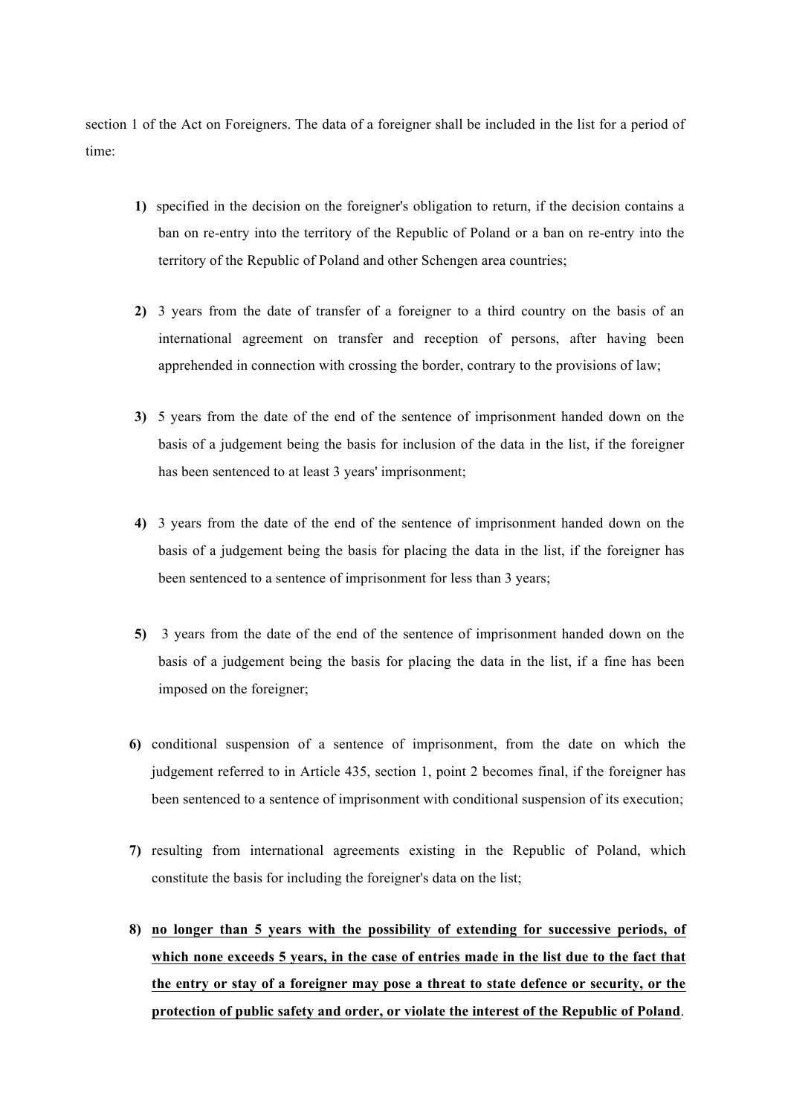section 1 of the Act on Foreigners. The data of a foreigner shall be included in the list for a period of time:

- **1)** specified in the decision on the foreigner's obligation to return, if the decision contains a ban on re-entry into the territory of the Republic of Poland or a ban on re-entry into the territory of the Republic of Poland and other Schengen area countries;
- **2)** 3 years from the date of transfer of a foreigner to a third country on the basis of an international agreement on transfer and reception of persons, after having been apprehended in connection with crossing the border, contrary to the provisions of law;
- **3)** 5 years from the date of the end of the sentence of imprisonment handed down on the basis of a judgement being the basis for inclusion of the data in the list, if the foreigner has been sentenced to at least 3 years' imprisonment;
- **4)** 3 years from the date of the end of the sentence of imprisonment handed down on the basis of a judgement being the basis for placing the data in the list, if the foreigner has been sentenced to a sentence of imprisonment for less than 3 years;
- **5)** 3 years from the date of the end of the sentence of imprisonment handed down on the basis of a judgement being the basis for placing the data in the list, if a fine has been imposed on the foreigner;
- **6)** conditional suspension of a sentence of imprisonment, from the date on which the judgement referred to in Article 435, section 1, point 2 becomes final, if the foreigner has been sentenced to a sentence of imprisonment with conditional suspension of its execution;
- **7)** resulting from international agreements existing in the Republic of Poland, which constitute the basis for including the foreigner's data on the list;
- **8) no longer than 5 years with the possibility of extending for successive periods, of which none exceeds 5 years, in the case of entries made in the list due to the fact that the entry or stay of a foreigner may pose a threat to state defence or security, or the protection of public safety and order, or violate the interest of the Republic of Poland**.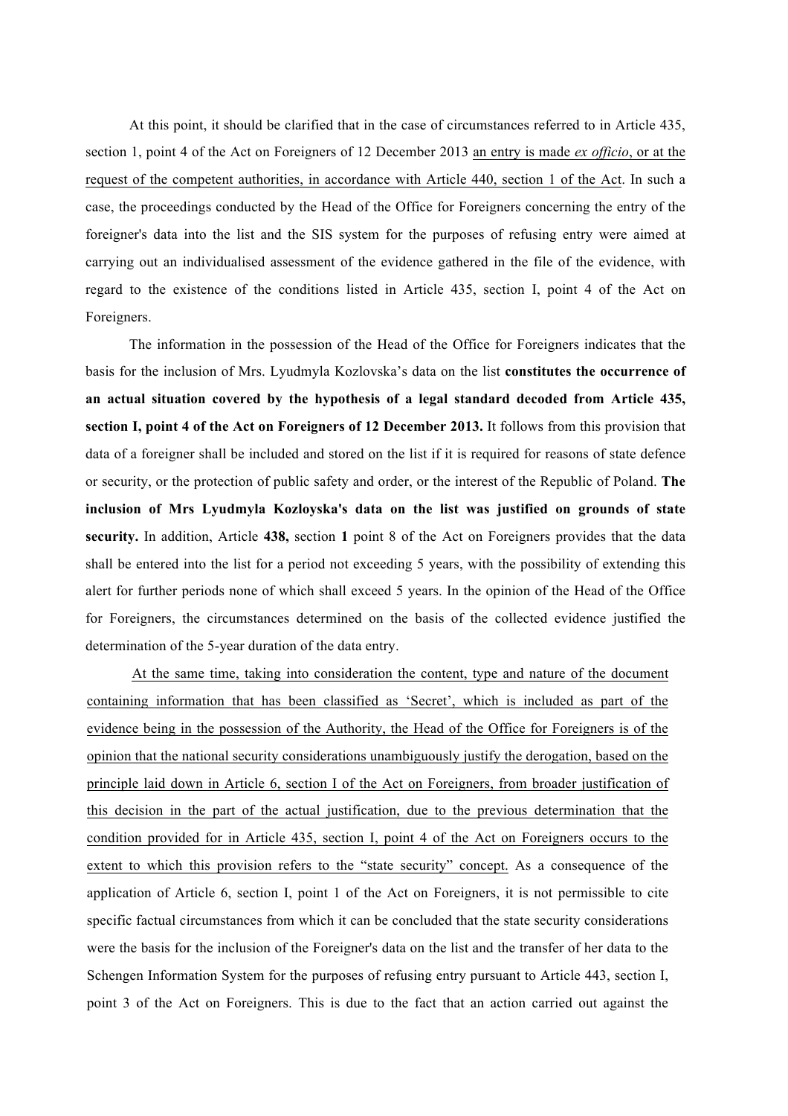At this point, it should be clarified that in the case of circumstances referred to in Article 435, section 1, point 4 of the Act on Foreigners of 12 December 2013 an entry is made *ex officio*, or at the request of the competent authorities, in accordance with Article 440, section 1 of the Act. In such a case, the proceedings conducted by the Head of the Office for Foreigners concerning the entry of the foreigner's data into the list and the SIS system for the purposes of refusing entry were aimed at carrying out an individualised assessment of the evidence gathered in the file of the evidence, with regard to the existence of the conditions listed in Article 435, section I, point 4 of the Act on Foreigners.

The information in the possession of the Head of the Office for Foreigners indicates that the basis for the inclusion of Mrs. Lyudmyla Kozlovska's data on the list **constitutes the occurrence of an actual situation covered by the hypothesis of a legal standard decoded from Article 435, section I, point 4 of the Act on Foreigners of 12 December 2013.** It follows from this provision that data of a foreigner shall be included and stored on the list if it is required for reasons of state defence or security, or the protection of public safety and order, or the interest of the Republic of Poland. **The inclusion of Mrs Lyudmyla Kozloyska's data on the list was justified on grounds of state security.** In addition, Article **438,** section **1** point 8 of the Act on Foreigners provides that the data shall be entered into the list for a period not exceeding 5 years, with the possibility of extending this alert for further periods none of which shall exceed 5 years. In the opinion of the Head of the Office for Foreigners, the circumstances determined on the basis of the collected evidence justified the determination of the 5-year duration of the data entry.

At the same time, taking into consideration the content, type and nature of the document containing information that has been classified as 'Secret', which is included as part of the evidence being in the possession of the Authority, the Head of the Office for Foreigners is of the opinion that the national security considerations unambiguously justify the derogation, based on the principle laid down in Article 6, section I of the Act on Foreigners, from broader justification of this decision in the part of the actual justification, due to the previous determination that the condition provided for in Article 435, section I, point 4 of the Act on Foreigners occurs to the extent to which this provision refers to the "state security" concept. As a consequence of the application of Article 6, section I, point 1 of the Act on Foreigners, it is not permissible to cite specific factual circumstances from which it can be concluded that the state security considerations were the basis for the inclusion of the Foreigner's data on the list and the transfer of her data to the Schengen Information System for the purposes of refusing entry pursuant to Article 443, section I, point 3 of the Act on Foreigners. This is due to the fact that an action carried out against the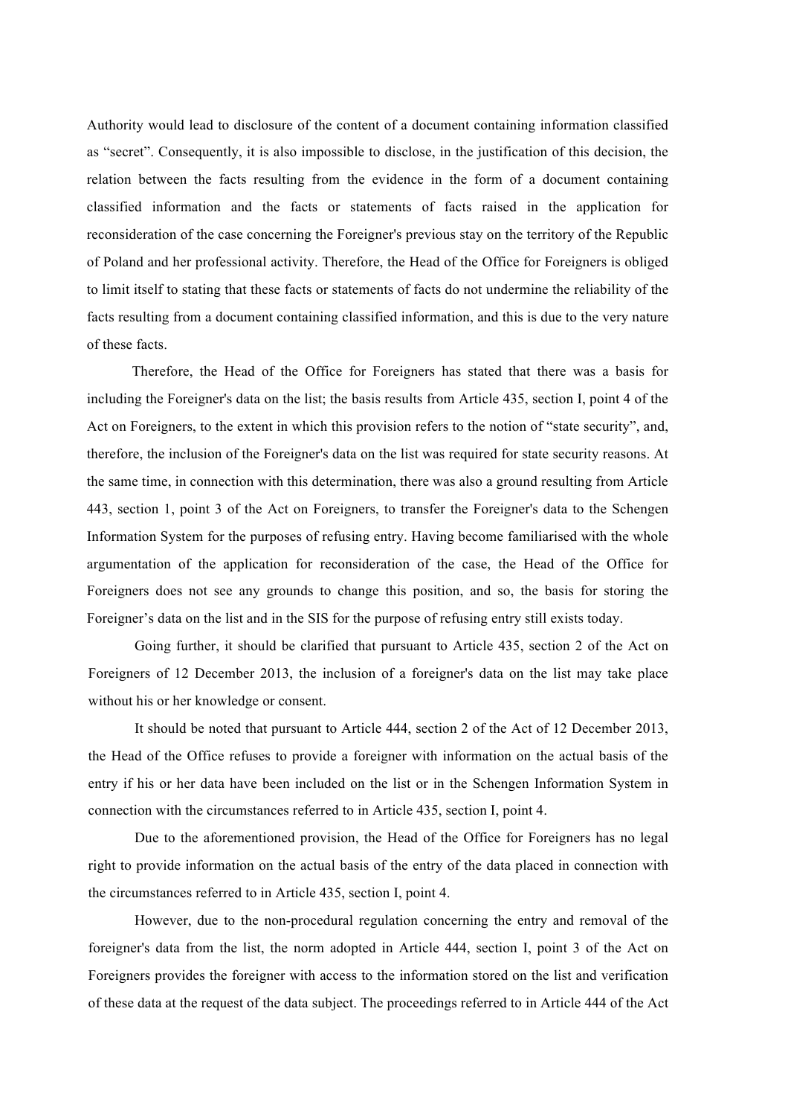Authority would lead to disclosure of the content of a document containing information classified as "secret". Consequently, it is also impossible to disclose, in the justification of this decision, the relation between the facts resulting from the evidence in the form of a document containing classified information and the facts or statements of facts raised in the application for reconsideration of the case concerning the Foreigner's previous stay on the territory of the Republic of Poland and her professional activity. Therefore, the Head of the Office for Foreigners is obliged to limit itself to stating that these facts or statements of facts do not undermine the reliability of the facts resulting from a document containing classified information, and this is due to the very nature of these facts.

Therefore, the Head of the Office for Foreigners has stated that there was a basis for including the Foreigner's data on the list; the basis results from Article 435, section I, point 4 of the Act on Foreigners, to the extent in which this provision refers to the notion of "state security", and, therefore, the inclusion of the Foreigner's data on the list was required for state security reasons. At the same time, in connection with this determination, there was also a ground resulting from Article 443, section 1, point 3 of the Act on Foreigners, to transfer the Foreigner's data to the Schengen Information System for the purposes of refusing entry. Having become familiarised with the whole argumentation of the application for reconsideration of the case, the Head of the Office for Foreigners does not see any grounds to change this position, and so, the basis for storing the Foreigner's data on the list and in the SIS for the purpose of refusing entry still exists today.

Going further, it should be clarified that pursuant to Article 435, section 2 of the Act on Foreigners of 12 December 2013, the inclusion of a foreigner's data on the list may take place without his or her knowledge or consent.

It should be noted that pursuant to Article 444, section 2 of the Act of 12 December 2013, the Head of the Office refuses to provide a foreigner with information on the actual basis of the entry if his or her data have been included on the list or in the Schengen Information System in connection with the circumstances referred to in Article 435, section I, point 4.

Due to the aforementioned provision, the Head of the Office for Foreigners has no legal right to provide information on the actual basis of the entry of the data placed in connection with the circumstances referred to in Article 435, section I, point 4.

However, due to the non-procedural regulation concerning the entry and removal of the foreigner's data from the list, the norm adopted in Article 444, section I, point 3 of the Act on Foreigners provides the foreigner with access to the information stored on the list and verification of these data at the request of the data subject. The proceedings referred to in Article 444 of the Act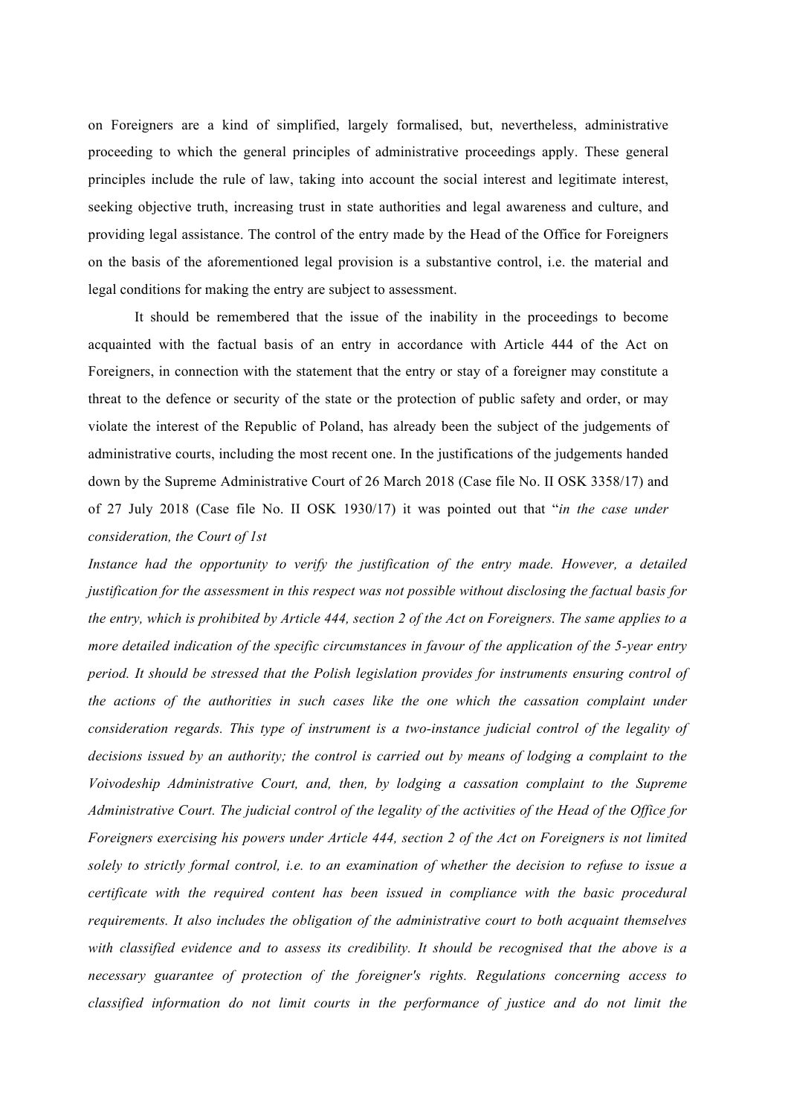on Foreigners are a kind of simplified, largely formalised, but, nevertheless, administrative proceeding to which the general principles of administrative proceedings apply. These general principles include the rule of law, taking into account the social interest and legitimate interest, seeking objective truth, increasing trust in state authorities and legal awareness and culture, and providing legal assistance. The control of the entry made by the Head of the Office for Foreigners on the basis of the aforementioned legal provision is a substantive control, i.e. the material and legal conditions for making the entry are subject to assessment.

It should be remembered that the issue of the inability in the proceedings to become acquainted with the factual basis of an entry in accordance with Article 444 of the Act on Foreigners, in connection with the statement that the entry or stay of a foreigner may constitute a threat to the defence or security of the state or the protection of public safety and order, or may violate the interest of the Republic of Poland, has already been the subject of the judgements of administrative courts, including the most recent one. In the justifications of the judgements handed down by the Supreme Administrative Court of 26 March 2018 (Case file No. II OSK 3358/17) and of 27 July 2018 (Case file No. II OSK 1930/17) it was pointed out that "*in the case under consideration, the Court of 1st*

*Instance had the opportunity to verify the justification of the entry made. However, a detailed justification for the assessment in this respect was not possible without disclosing the factual basis for the entry, which is prohibited by Article 444, section 2 of the Act on Foreigners. The same applies to a more detailed indication of the specific circumstances in favour of the application of the 5-year entry period. It should be stressed that the Polish legislation provides for instruments ensuring control of the actions of the authorities in such cases like the one which the cassation complaint under consideration regards. This type of instrument is a two-instance judicial control of the legality of decisions issued by an authority; the control is carried out by means of lodging a complaint to the Voivodeship Administrative Court, and, then, by lodging a cassation complaint to the Supreme Administrative Court. The judicial control of the legality of the activities of the Head of the Office for Foreigners exercising his powers under Article 444, section 2 of the Act on Foreigners is not limited solely to strictly formal control, i.e. to an examination of whether the decision to refuse to issue a certificate with the required content has been issued in compliance with the basic procedural requirements. It also includes the obligation of the administrative court to both acquaint themselves with classified evidence and to assess its credibility. It should be recognised that the above is a necessary guarantee of protection of the foreigner's rights. Regulations concerning access to classified information do not limit courts in the performance of justice and do not limit the*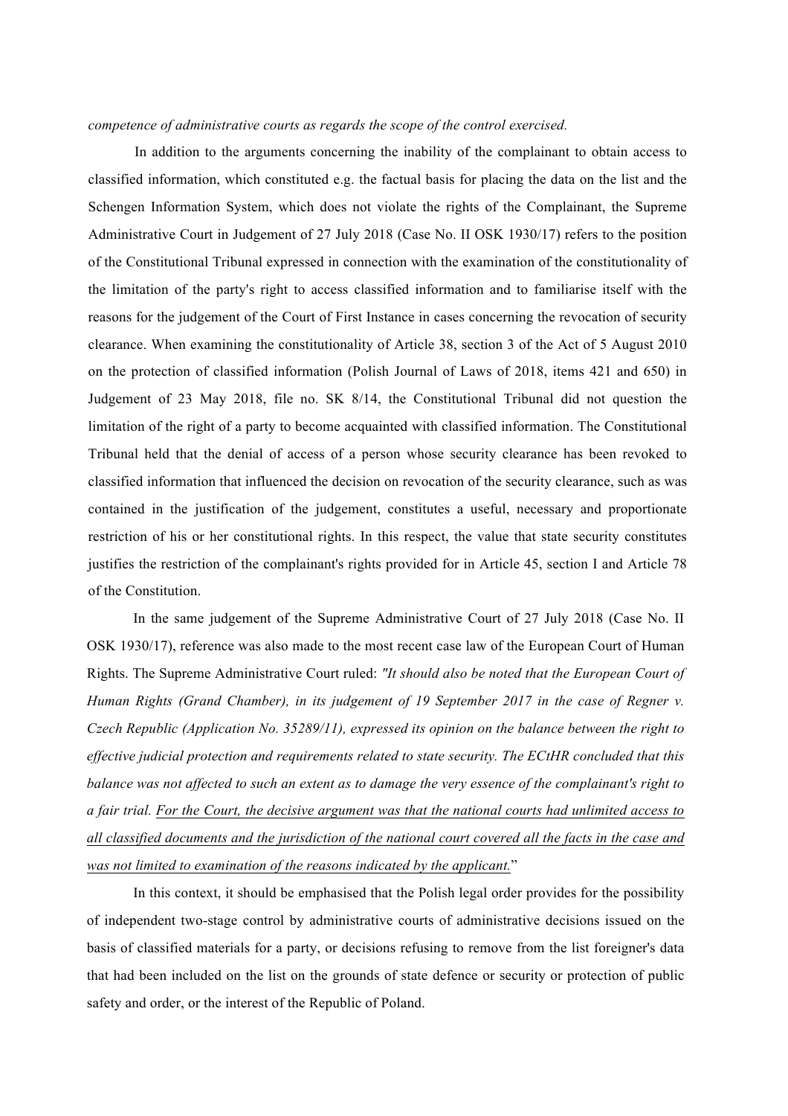# *competence of administrative courts as regards the scope of the control exercised.*

In addition to the arguments concerning the inability of the complainant to obtain access to classified information, which constituted e.g. the factual basis for placing the data on the list and the Schengen Information System, which does not violate the rights of the Complainant, the Supreme Administrative Court in Judgement of 27 July 2018 (Case No. II OSK 1930/17) refers to the position of the Constitutional Tribunal expressed in connection with the examination of the constitutionality of the limitation of the party's right to access classified information and to familiarise itself with the reasons for the judgement of the Court of First Instance in cases concerning the revocation of security clearance. When examining the constitutionality of Article 38, section 3 of the Act of 5 August 2010 on the protection of classified information (Polish Journal of Laws of 2018, items 421 and 650) in Judgement of 23 May 2018, file no. SK 8/14, the Constitutional Tribunal did not question the limitation of the right of a party to become acquainted with classified information. The Constitutional Tribunal held that the denial of access of a person whose security clearance has been revoked to classified information that influenced the decision on revocation of the security clearance, such as was contained in the justification of the judgement, constitutes a useful, necessary and proportionate restriction of his or her constitutional rights. In this respect, the value that state security constitutes justifies the restriction of the complainant's rights provided for in Article 45, section I and Article 78 of the Constitution.

In the same judgement of the Supreme Administrative Court of 27 July 2018 (Case No. II OSK 1930/17), reference was also made to the most recent case law of the European Court of Human Rights. The Supreme Administrative Court ruled: *"It should also be noted that the European Court of Human Rights (Grand Chamber), in its judgement of 19 September 2017 in the case of Regner v. Czech Republic (Application No. 35289/11), expressed its opinion on the balance between the right to effective judicial protection and requirements related to state security. The ECtHR concluded that this balance was not affected to such an extent as to damage the very essence of the complainant's right to a fair trial. For the Court, the decisive argument was that the national courts had unlimited access to all classified documents and the jurisdiction of the national court covered all the facts in the case and was not limited to examination of the reasons indicated by the applicant.*"

In this context, it should be emphasised that the Polish legal order provides for the possibility of independent two-stage control by administrative courts of administrative decisions issued on the basis of classified materials for a party, or decisions refusing to remove from the list foreigner's data that had been included on the list on the grounds of state defence or security or protection of public safety and order, or the interest of the Republic of Poland.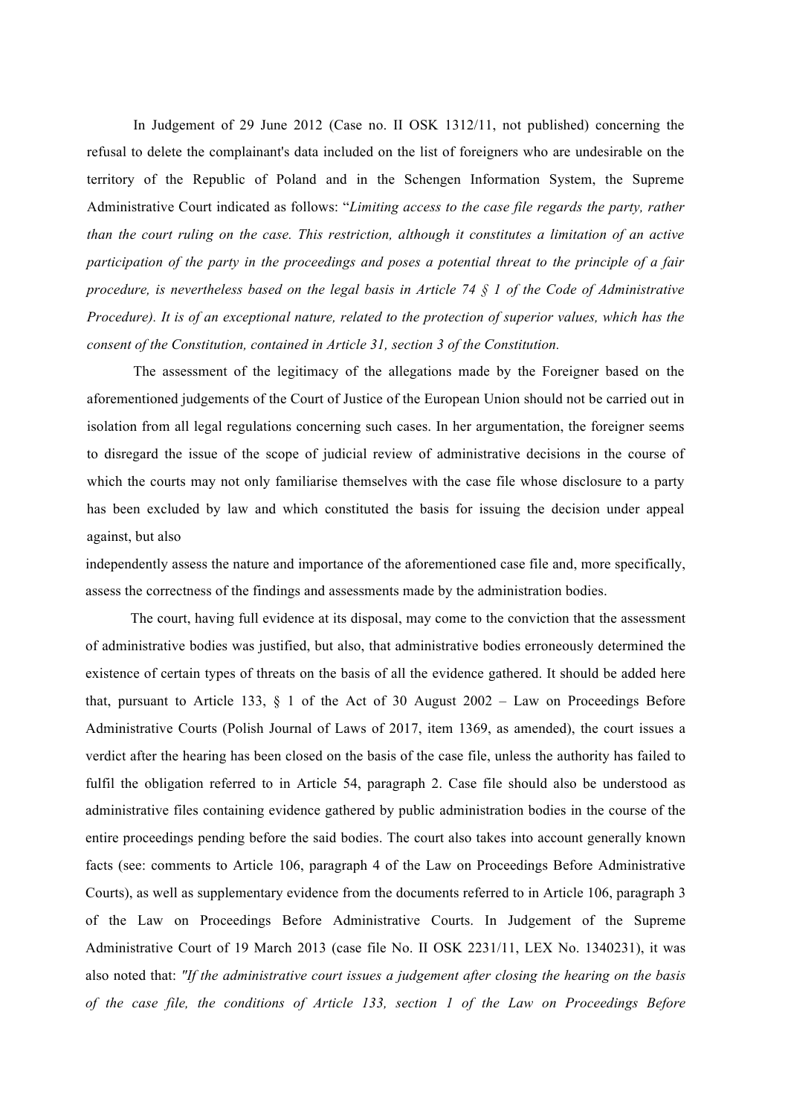In Judgement of 29 June 2012 (Case no. II OSK 1312/11, not published) concerning the refusal to delete the complainant's data included on the list of foreigners who are undesirable on the territory of the Republic of Poland and in the Schengen Information System, the Supreme Administrative Court indicated as follows: "*Limiting access to the case file regards the party, rather than the court ruling on the case. This restriction, although it constitutes a limitation of an active participation of the party in the proceedings and poses a potential threat to the principle of a fair procedure, is nevertheless based on the legal basis in Article 74 § 1 of the Code of Administrative Procedure). It is of an exceptional nature, related to the protection of superior values, which has the consent of the Constitution, contained in Article 31, section 3 of the Constitution.*

The assessment of the legitimacy of the allegations made by the Foreigner based on the aforementioned judgements of the Court of Justice of the European Union should not be carried out in isolation from all legal regulations concerning such cases. In her argumentation, the foreigner seems to disregard the issue of the scope of judicial review of administrative decisions in the course of which the courts may not only familiarise themselves with the case file whose disclosure to a party has been excluded by law and which constituted the basis for issuing the decision under appeal against, but also

independently assess the nature and importance of the aforementioned case file and, more specifically, assess the correctness of the findings and assessments made by the administration bodies.

The court, having full evidence at its disposal, may come to the conviction that the assessment of administrative bodies was justified, but also, that administrative bodies erroneously determined the existence of certain types of threats on the basis of all the evidence gathered. It should be added here that, pursuant to Article 133,  $\S$  1 of the Act of 30 August 2002 – Law on Proceedings Before Administrative Courts (Polish Journal of Laws of 2017, item 1369, as amended), the court issues a verdict after the hearing has been closed on the basis of the case file, unless the authority has failed to fulfil the obligation referred to in Article 54, paragraph 2. Case file should also be understood as administrative files containing evidence gathered by public administration bodies in the course of the entire proceedings pending before the said bodies. The court also takes into account generally known facts (see: comments to Article 106, paragraph 4 of the Law on Proceedings Before Administrative Courts), as well as supplementary evidence from the documents referred to in Article 106, paragraph 3 of the Law on Proceedings Before Administrative Courts. In Judgement of the Supreme Administrative Court of 19 March 2013 (case file No. II OSK 2231/11, LEX No. 1340231), it was also noted that: *"If the administrative court issues a judgement after closing the hearing on the basis of the case file, the conditions of Article 133, section 1 of the Law on Proceedings Before*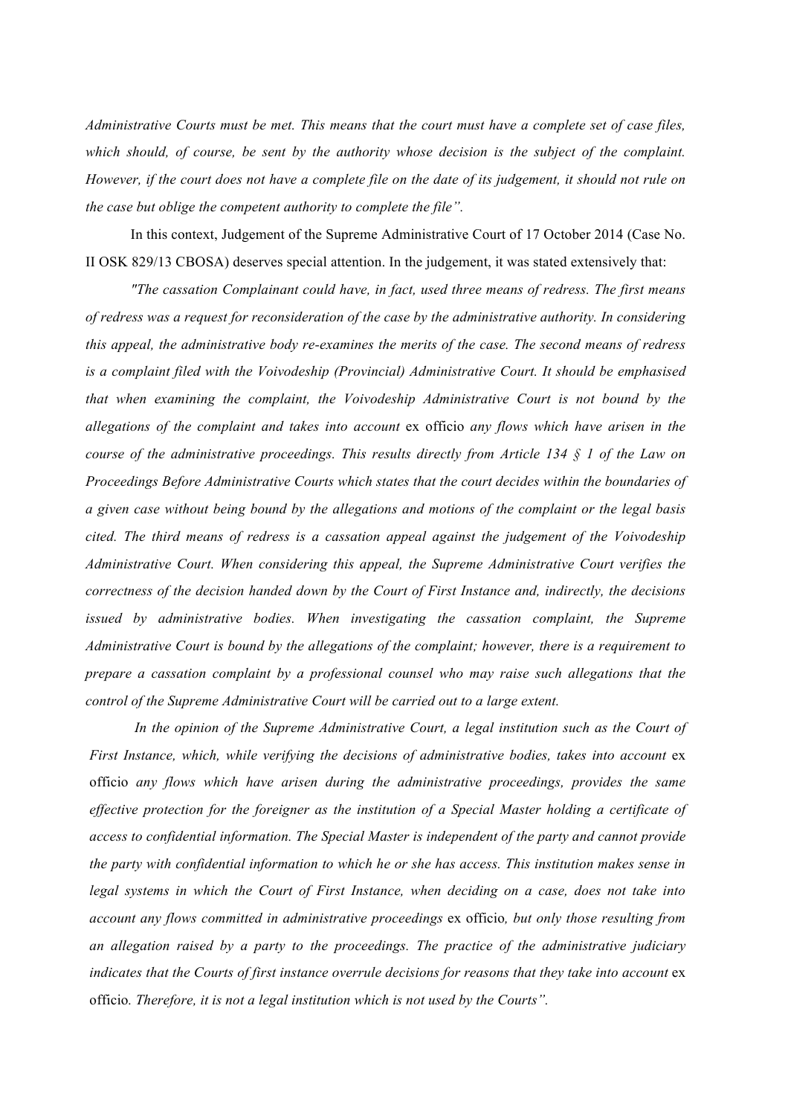*Administrative Courts must be met. This means that the court must have a complete set of case files, which should, of course, be sent by the authority whose decision is the subject of the complaint. However, if the court does not have a complete file on the date of its judgement, it should not rule on the case but oblige the competent authority to complete the file".*

In this context, Judgement of the Supreme Administrative Court of 17 October 2014 (Case No. II OSK 829/13 CBOSA) deserves special attention. In the judgement, it was stated extensively that:

*"The cassation Complainant could have, in fact, used three means of redress. The first means of redress was a request for reconsideration of the case by the administrative authority. In considering this appeal, the administrative body re-examines the merits of the case. The second means of redress is a complaint filed with the Voivodeship (Provincial) Administrative Court. It should be emphasised that when examining the complaint, the Voivodeship Administrative Court is not bound by the allegations of the complaint and takes into account* ex officio *any flows which have arisen in the course of the administrative proceedings. This results directly from Article 134 § 1 of the Law on Proceedings Before Administrative Courts which states that the court decides within the boundaries of a given case without being bound by the allegations and motions of the complaint or the legal basis cited. The third means of redress is a cassation appeal against the judgement of the Voivodeship Administrative Court. When considering this appeal, the Supreme Administrative Court verifies the correctness of the decision handed down by the Court of First Instance and, indirectly, the decisions issued by administrative bodies. When investigating the cassation complaint, the Supreme Administrative Court is bound by the allegations of the complaint; however, there is a requirement to prepare a cassation complaint by a professional counsel who may raise such allegations that the control of the Supreme Administrative Court will be carried out to a large extent.*

*In the opinion of the Supreme Administrative Court, a legal institution such as the Court of First Instance, which, while verifying the decisions of administrative bodies, takes into account* ex officio *any flows which have arisen during the administrative proceedings, provides the same effective protection for the foreigner as the institution of a Special Master holding a certificate of access to confidential information. The Special Master is independent of the party and cannot provide the party with confidential information to which he or she has access. This institution makes sense in legal systems in which the Court of First Instance, when deciding on a case, does not take into account any flows committed in administrative proceedings* ex officio*, but only those resulting from an allegation raised by a party to the proceedings. The practice of the administrative judiciary indicates that the Courts of first instance overrule decisions for reasons that they take into account* ex officio*. Therefore, it is not a legal institution which is not used by the Courts".*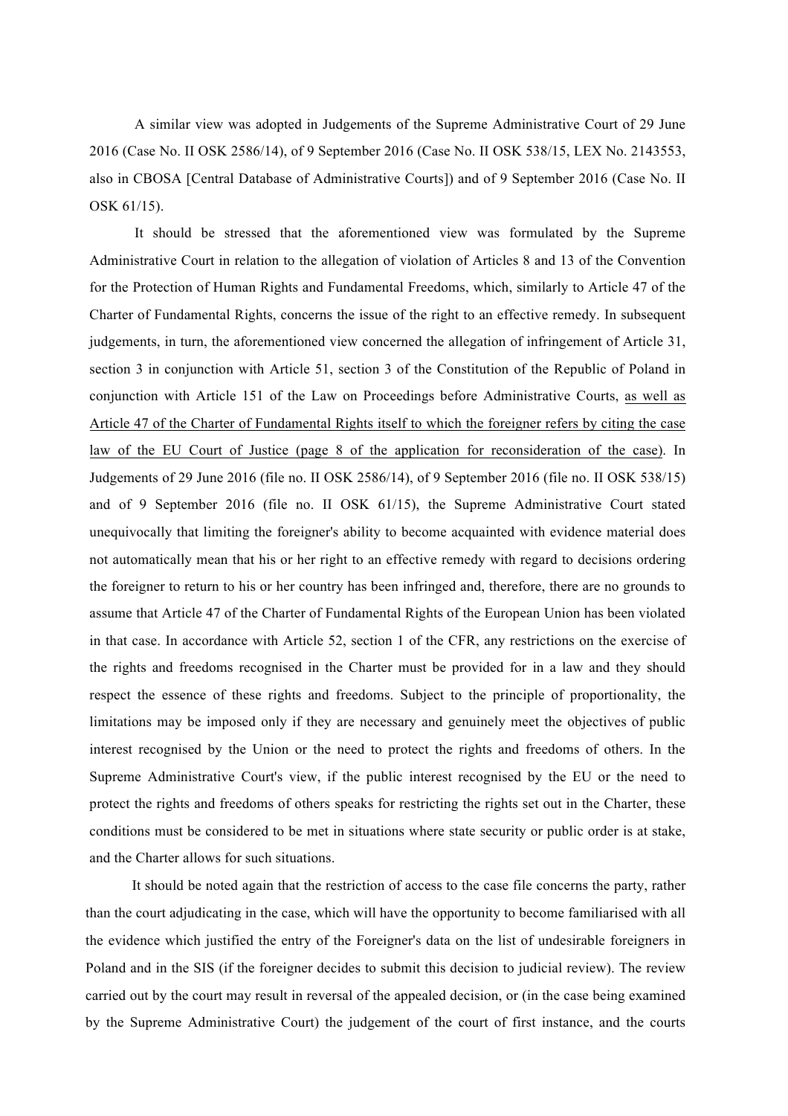A similar view was adopted in Judgements of the Supreme Administrative Court of 29 June 2016 (Case No. II OSK 2586/14), of 9 September 2016 (Case No. II OSK 538/15, LEX No. 2143553, also in CBOSA [Central Database of Administrative Courts]) and of 9 September 2016 (Case No. II OSK 61/15).

It should be stressed that the aforementioned view was formulated by the Supreme Administrative Court in relation to the allegation of violation of Articles 8 and 13 of the Convention for the Protection of Human Rights and Fundamental Freedoms, which, similarly to Article 47 of the Charter of Fundamental Rights, concerns the issue of the right to an effective remedy. In subsequent judgements, in turn, the aforementioned view concerned the allegation of infringement of Article 31, section 3 in conjunction with Article 51, section 3 of the Constitution of the Republic of Poland in conjunction with Article 151 of the Law on Proceedings before Administrative Courts, as well as Article 47 of the Charter of Fundamental Rights itself to which the foreigner refers by citing the case law of the EU Court of Justice (page 8 of the application for reconsideration of the case). In Judgements of 29 June 2016 (file no. II OSK 2586/14), of 9 September 2016 (file no. II OSK 538/15) and of 9 September 2016 (file no. II OSK 61/15), the Supreme Administrative Court stated unequivocally that limiting the foreigner's ability to become acquainted with evidence material does not automatically mean that his or her right to an effective remedy with regard to decisions ordering the foreigner to return to his or her country has been infringed and, therefore, there are no grounds to assume that Article 47 of the Charter of Fundamental Rights of the European Union has been violated in that case. In accordance with Article 52, section 1 of the CFR, any restrictions on the exercise of the rights and freedoms recognised in the Charter must be provided for in a law and they should respect the essence of these rights and freedoms. Subject to the principle of proportionality, the limitations may be imposed only if they are necessary and genuinely meet the objectives of public interest recognised by the Union or the need to protect the rights and freedoms of others. In the Supreme Administrative Court's view, if the public interest recognised by the EU or the need to protect the rights and freedoms of others speaks for restricting the rights set out in the Charter, these conditions must be considered to be met in situations where state security or public order is at stake, and the Charter allows for such situations.

It should be noted again that the restriction of access to the case file concerns the party, rather than the court adjudicating in the case, which will have the opportunity to become familiarised with all the evidence which justified the entry of the Foreigner's data on the list of undesirable foreigners in Poland and in the SIS (if the foreigner decides to submit this decision to judicial review). The review carried out by the court may result in reversal of the appealed decision, or (in the case being examined by the Supreme Administrative Court) the judgement of the court of first instance, and the courts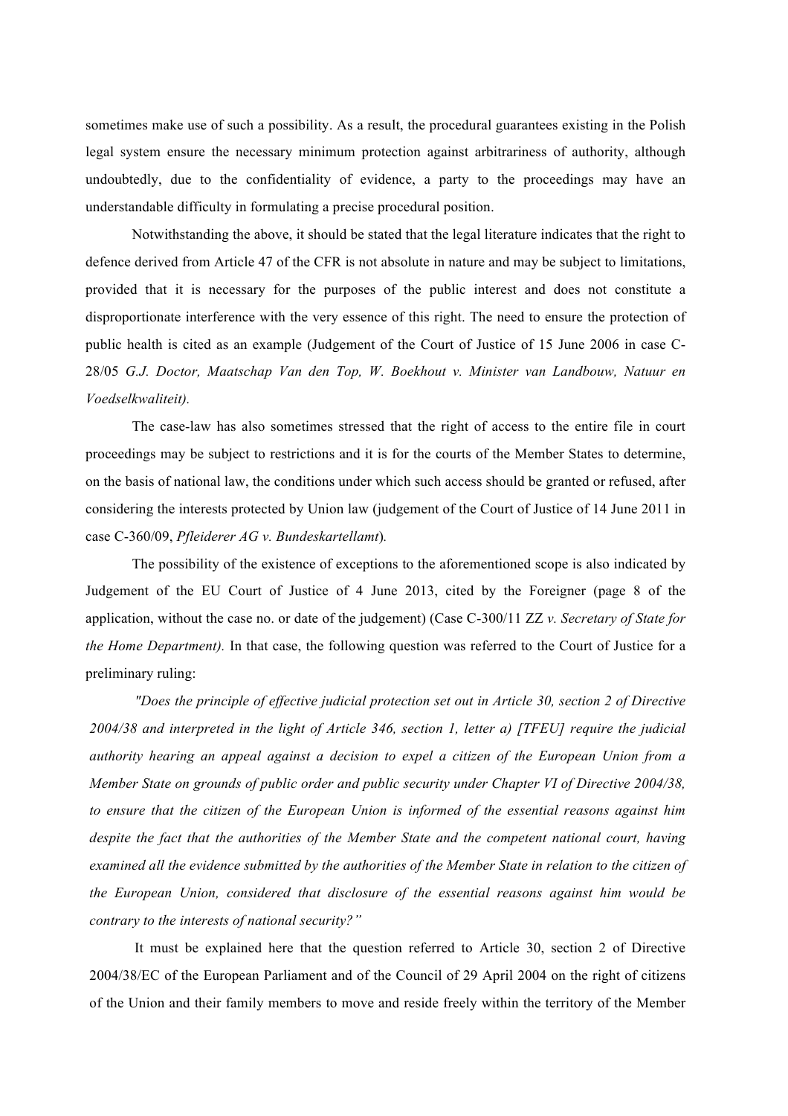sometimes make use of such a possibility. As a result, the procedural guarantees existing in the Polish legal system ensure the necessary minimum protection against arbitrariness of authority, although undoubtedly, due to the confidentiality of evidence, a party to the proceedings may have an understandable difficulty in formulating a precise procedural position.

Notwithstanding the above, it should be stated that the legal literature indicates that the right to defence derived from Article 47 of the CFR is not absolute in nature and may be subject to limitations, provided that it is necessary for the purposes of the public interest and does not constitute a disproportionate interference with the very essence of this right. The need to ensure the protection of public health is cited as an example (Judgement of the Court of Justice of 15 June 2006 in case C-28/05 *G.J. Doctor, Maatschap Van den Top, W. Boekhout v. Minister van Landbouw, Natuur en Voedselkwaliteit).*

The case-law has also sometimes stressed that the right of access to the entire file in court proceedings may be subject to restrictions and it is for the courts of the Member States to determine, on the basis of national law, the conditions under which such access should be granted or refused, after considering the interests protected by Union law (judgement of the Court of Justice of 14 June 2011 in case C-360/09, *Pfleiderer AG v. Bundeskartellamt*)*.*

The possibility of the existence of exceptions to the aforementioned scope is also indicated by Judgement of the EU Court of Justice of 4 June 2013, cited by the Foreigner (page 8 of the application, without the case no. or date of the judgement) (Case C-300/11 ZZ *v. Secretary of State for the Home Department).* In that case, the following question was referred to the Court of Justice for a preliminary ruling:

*"Does the principle of effective judicial protection set out in Article 30, section 2 of Directive 2004/38 and interpreted in the light of Article 346, section 1, letter a) [TFEU] require the judicial authority hearing an appeal against a decision to expel a citizen of the European Union from a Member State on grounds of public order and public security under Chapter VI of Directive 2004/38, to ensure that the citizen of the European Union is informed of the essential reasons against him despite the fact that the authorities of the Member State and the competent national court, having examined all the evidence submitted by the authorities of the Member State in relation to the citizen of the European Union, considered that disclosure of the essential reasons against him would be contrary to the interests of national security?"*

It must be explained here that the question referred to Article 30, section 2 of Directive 2004/38/EC of the European Parliament and of the Council of 29 April 2004 on the right of citizens of the Union and their family members to move and reside freely within the territory of the Member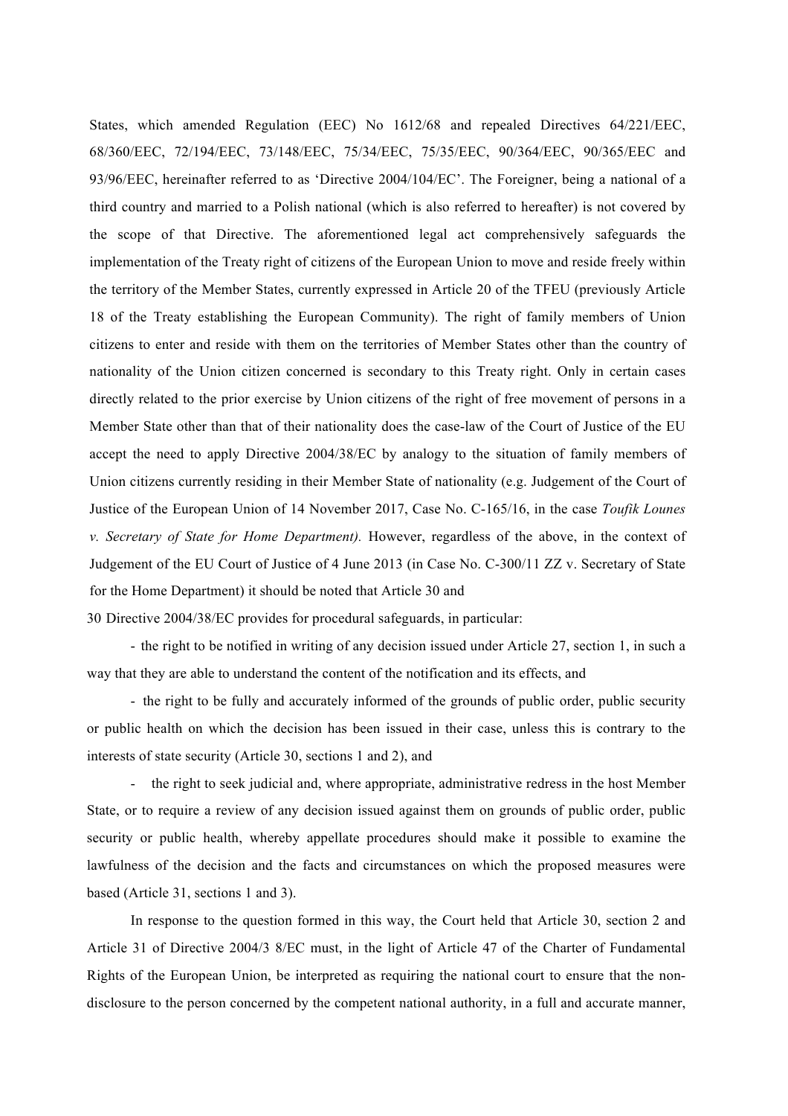States, which amended Regulation (EEC) No 1612/68 and repealed Directives 64/221/EEC, 68/360/EEC, 72/194/EEC, 73/148/EEC, 75/34/EEC, 75/35/EEC, 90/364/EEC, 90/365/EEC and 93/96/EEC, hereinafter referred to as 'Directive 2004/104/EC'. The Foreigner, being a national of a third country and married to a Polish national (which is also referred to hereafter) is not covered by the scope of that Directive. The aforementioned legal act comprehensively safeguards the implementation of the Treaty right of citizens of the European Union to move and reside freely within the territory of the Member States, currently expressed in Article 20 of the TFEU (previously Article 18 of the Treaty establishing the European Community). The right of family members of Union citizens to enter and reside with them on the territories of Member States other than the country of nationality of the Union citizen concerned is secondary to this Treaty right. Only in certain cases directly related to the prior exercise by Union citizens of the right of free movement of persons in a Member State other than that of their nationality does the case-law of the Court of Justice of the EU accept the need to apply Directive 2004/38/EC by analogy to the situation of family members of Union citizens currently residing in their Member State of nationality (e.g. Judgement of the Court of Justice of the European Union of 14 November 2017, Case No. C-165/16, in the case *Toufik Lounes v. Secretary of State for Home Department).* However, regardless of the above, in the context of Judgement of the EU Court of Justice of 4 June 2013 (in Case No. C-300/11 ZZ v. Secretary of State for the Home Department) it should be noted that Article 30 and

30 Directive 2004/38/EC provides for procedural safeguards, in particular:

- the right to be notified in writing of any decision issued under Article 27, section 1, in such a way that they are able to understand the content of the notification and its effects, and

- the right to be fully and accurately informed of the grounds of public order, public security or public health on which the decision has been issued in their case, unless this is contrary to the interests of state security (Article 30, sections 1 and 2), and

- the right to seek judicial and, where appropriate, administrative redress in the host Member State, or to require a review of any decision issued against them on grounds of public order, public security or public health, whereby appellate procedures should make it possible to examine the lawfulness of the decision and the facts and circumstances on which the proposed measures were based (Article 31, sections 1 and 3).

In response to the question formed in this way, the Court held that Article 30, section 2 and Article 31 of Directive 2004/3 8/EC must, in the light of Article 47 of the Charter of Fundamental Rights of the European Union, be interpreted as requiring the national court to ensure that the nondisclosure to the person concerned by the competent national authority, in a full and accurate manner,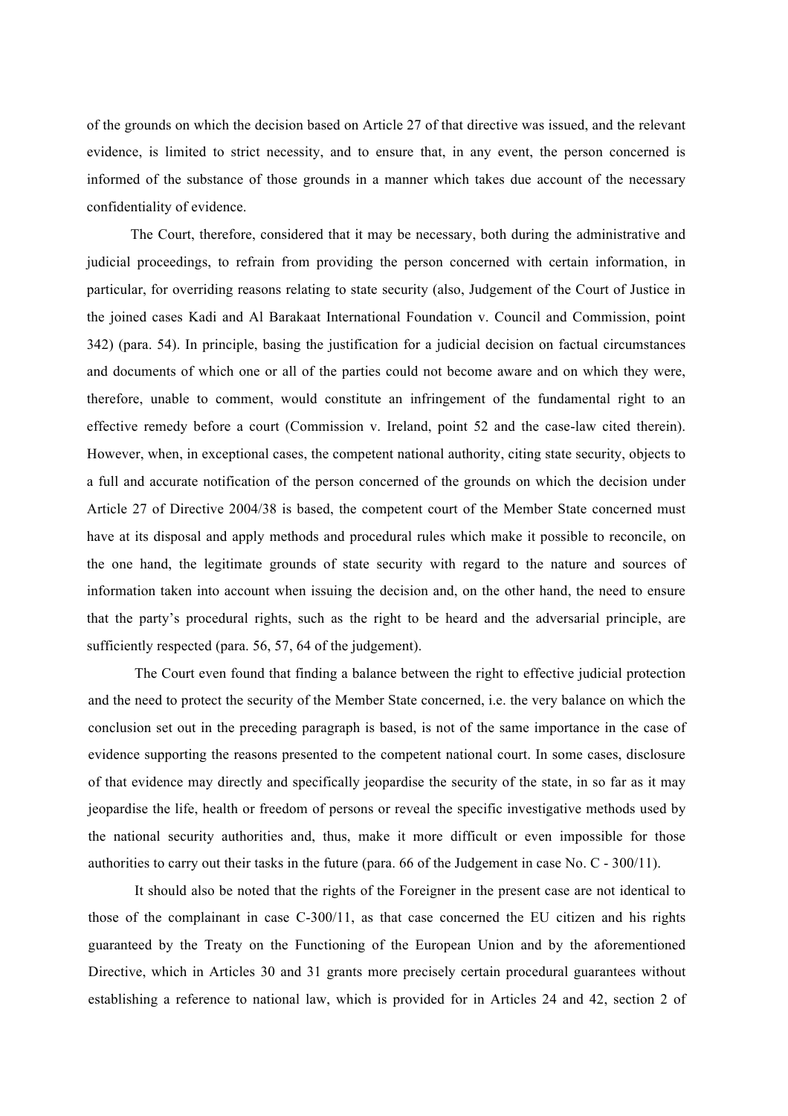of the grounds on which the decision based on Article 27 of that directive was issued, and the relevant evidence, is limited to strict necessity, and to ensure that, in any event, the person concerned is informed of the substance of those grounds in a manner which takes due account of the necessary confidentiality of evidence.

The Court, therefore, considered that it may be necessary, both during the administrative and judicial proceedings, to refrain from providing the person concerned with certain information, in particular, for overriding reasons relating to state security (also, Judgement of the Court of Justice in the joined cases Kadi and Al Barakaat International Foundation v. Council and Commission, point 342) (para. 54). In principle, basing the justification for a judicial decision on factual circumstances and documents of which one or all of the parties could not become aware and on which they were, therefore, unable to comment, would constitute an infringement of the fundamental right to an effective remedy before a court (Commission v. Ireland, point 52 and the case-law cited therein). However, when, in exceptional cases, the competent national authority, citing state security, objects to a full and accurate notification of the person concerned of the grounds on which the decision under Article 27 of Directive 2004/38 is based, the competent court of the Member State concerned must have at its disposal and apply methods and procedural rules which make it possible to reconcile, on the one hand, the legitimate grounds of state security with regard to the nature and sources of information taken into account when issuing the decision and, on the other hand, the need to ensure that the party's procedural rights, such as the right to be heard and the adversarial principle, are sufficiently respected (para. 56, 57, 64 of the judgement).

The Court even found that finding a balance between the right to effective judicial protection and the need to protect the security of the Member State concerned, i.e. the very balance on which the conclusion set out in the preceding paragraph is based, is not of the same importance in the case of evidence supporting the reasons presented to the competent national court. In some cases, disclosure of that evidence may directly and specifically jeopardise the security of the state, in so far as it may jeopardise the life, health or freedom of persons or reveal the specific investigative methods used by the national security authorities and, thus, make it more difficult or even impossible for those authorities to carry out their tasks in the future (para. 66 of the Judgement in case No. C - 300/11).

It should also be noted that the rights of the Foreigner in the present case are not identical to those of the complainant in case C-300/11, as that case concerned the EU citizen and his rights guaranteed by the Treaty on the Functioning of the European Union and by the aforementioned Directive, which in Articles 30 and 31 grants more precisely certain procedural guarantees without establishing a reference to national law, which is provided for in Articles 24 and 42, section 2 of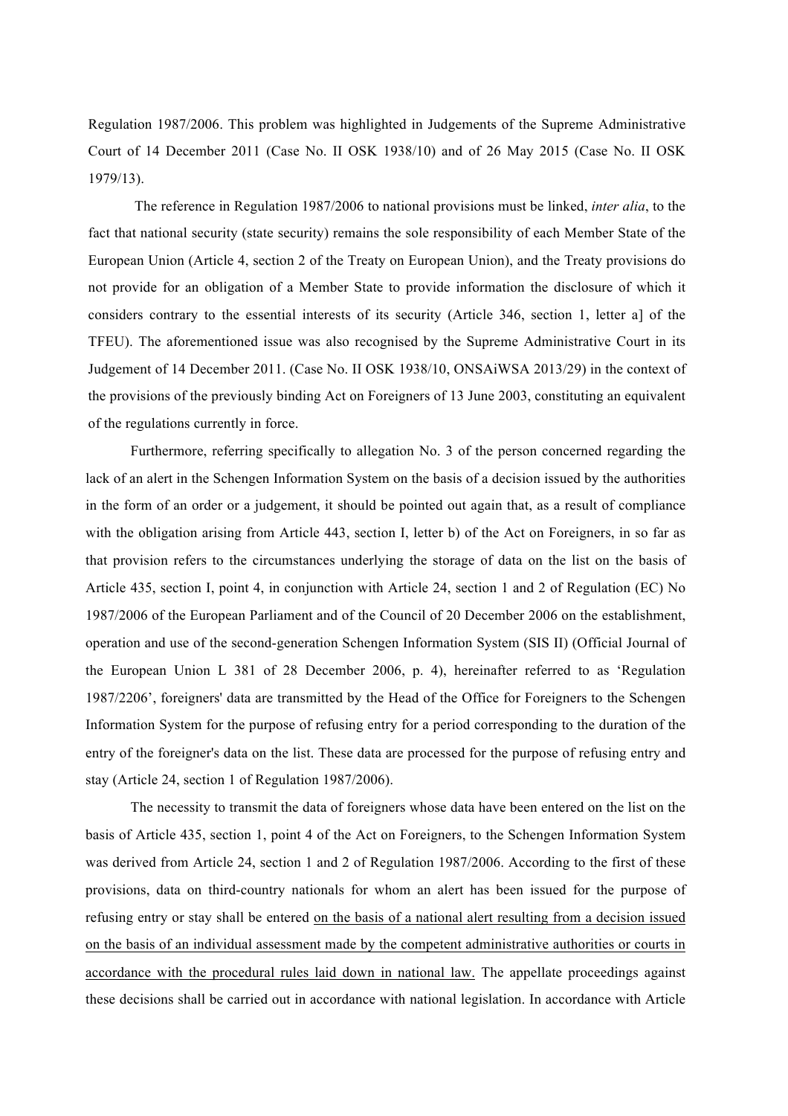Regulation 1987/2006. This problem was highlighted in Judgements of the Supreme Administrative Court of 14 December 2011 (Case No. II OSK 1938/10) and of 26 May 2015 (Case No. II OSK 1979/13).

The reference in Regulation 1987/2006 to national provisions must be linked, *inter alia*, to the fact that national security (state security) remains the sole responsibility of each Member State of the European Union (Article 4, section 2 of the Treaty on European Union), and the Treaty provisions do not provide for an obligation of a Member State to provide information the disclosure of which it considers contrary to the essential interests of its security (Article 346, section 1, letter a] of the TFEU). The aforementioned issue was also recognised by the Supreme Administrative Court in its Judgement of 14 December 2011. (Case No. II OSK 1938/10, ONSAiWSA 2013/29) in the context of the provisions of the previously binding Act on Foreigners of 13 June 2003, constituting an equivalent of the regulations currently in force.

Furthermore, referring specifically to allegation No. 3 of the person concerned regarding the lack of an alert in the Schengen Information System on the basis of a decision issued by the authorities in the form of an order or a judgement, it should be pointed out again that, as a result of compliance with the obligation arising from Article 443, section I, letter b) of the Act on Foreigners, in so far as that provision refers to the circumstances underlying the storage of data on the list on the basis of Article 435, section I, point 4, in conjunction with Article 24, section 1 and 2 of Regulation (EC) No 1987/2006 of the European Parliament and of the Council of 20 December 2006 on the establishment, operation and use of the second-generation Schengen Information System (SIS II) (Official Journal of the European Union L 381 of 28 December 2006, p. 4), hereinafter referred to as 'Regulation 1987/2206', foreigners' data are transmitted by the Head of the Office for Foreigners to the Schengen Information System for the purpose of refusing entry for a period corresponding to the duration of the entry of the foreigner's data on the list. These data are processed for the purpose of refusing entry and stay (Article 24, section 1 of Regulation 1987/2006).

The necessity to transmit the data of foreigners whose data have been entered on the list on the basis of Article 435, section 1, point 4 of the Act on Foreigners, to the Schengen Information System was derived from Article 24, section 1 and 2 of Regulation 1987/2006. According to the first of these provisions, data on third-country nationals for whom an alert has been issued for the purpose of refusing entry or stay shall be entered on the basis of a national alert resulting from a decision issued on the basis of an individual assessment made by the competent administrative authorities or courts in accordance with the procedural rules laid down in national law. The appellate proceedings against these decisions shall be carried out in accordance with national legislation. In accordance with Article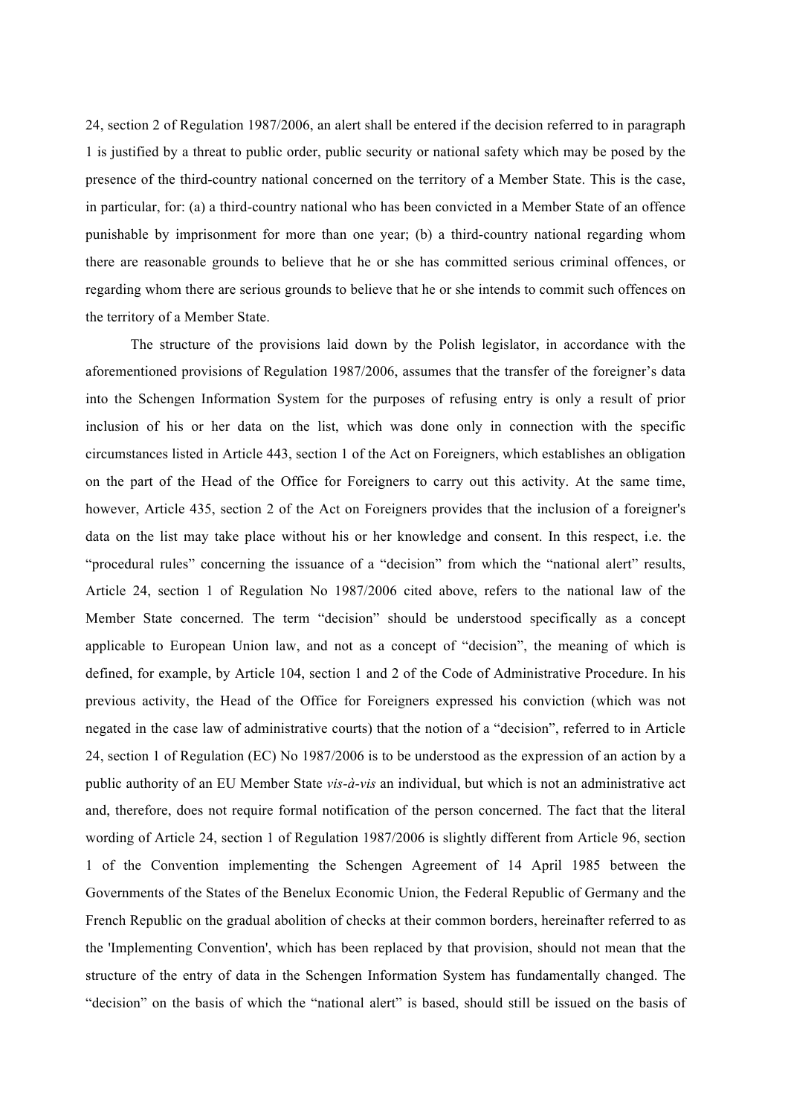24, section 2 of Regulation 1987/2006, an alert shall be entered if the decision referred to in paragraph 1 is justified by a threat to public order, public security or national safety which may be posed by the presence of the third-country national concerned on the territory of a Member State. This is the case, in particular, for: (a) a third-country national who has been convicted in a Member State of an offence punishable by imprisonment for more than one year; (b) a third-country national regarding whom there are reasonable grounds to believe that he or she has committed serious criminal offences, or regarding whom there are serious grounds to believe that he or she intends to commit such offences on the territory of a Member State.

The structure of the provisions laid down by the Polish legislator, in accordance with the aforementioned provisions of Regulation 1987/2006, assumes that the transfer of the foreigner's data into the Schengen Information System for the purposes of refusing entry is only a result of prior inclusion of his or her data on the list, which was done only in connection with the specific circumstances listed in Article 443, section 1 of the Act on Foreigners, which establishes an obligation on the part of the Head of the Office for Foreigners to carry out this activity. At the same time, however, Article 435, section 2 of the Act on Foreigners provides that the inclusion of a foreigner's data on the list may take place without his or her knowledge and consent. In this respect, i.e. the "procedural rules" concerning the issuance of a "decision" from which the "national alert" results, Article 24, section 1 of Regulation No 1987/2006 cited above, refers to the national law of the Member State concerned. The term "decision" should be understood specifically as a concept applicable to European Union law, and not as a concept of "decision", the meaning of which is defined, for example, by Article 104, section 1 and 2 of the Code of Administrative Procedure. In his previous activity, the Head of the Office for Foreigners expressed his conviction (which was not negated in the case law of administrative courts) that the notion of a "decision", referred to in Article 24, section 1 of Regulation (EC) No 1987/2006 is to be understood as the expression of an action by a public authority of an EU Member State *vis-à-vis* an individual, but which is not an administrative act and, therefore, does not require formal notification of the person concerned. The fact that the literal wording of Article 24, section 1 of Regulation 1987/2006 is slightly different from Article 96, section 1 of the Convention implementing the Schengen Agreement of 14 April 1985 between the Governments of the States of the Benelux Economic Union, the Federal Republic of Germany and the French Republic on the gradual abolition of checks at their common borders, hereinafter referred to as the 'Implementing Convention', which has been replaced by that provision, should not mean that the structure of the entry of data in the Schengen Information System has fundamentally changed. The "decision" on the basis of which the "national alert" is based, should still be issued on the basis of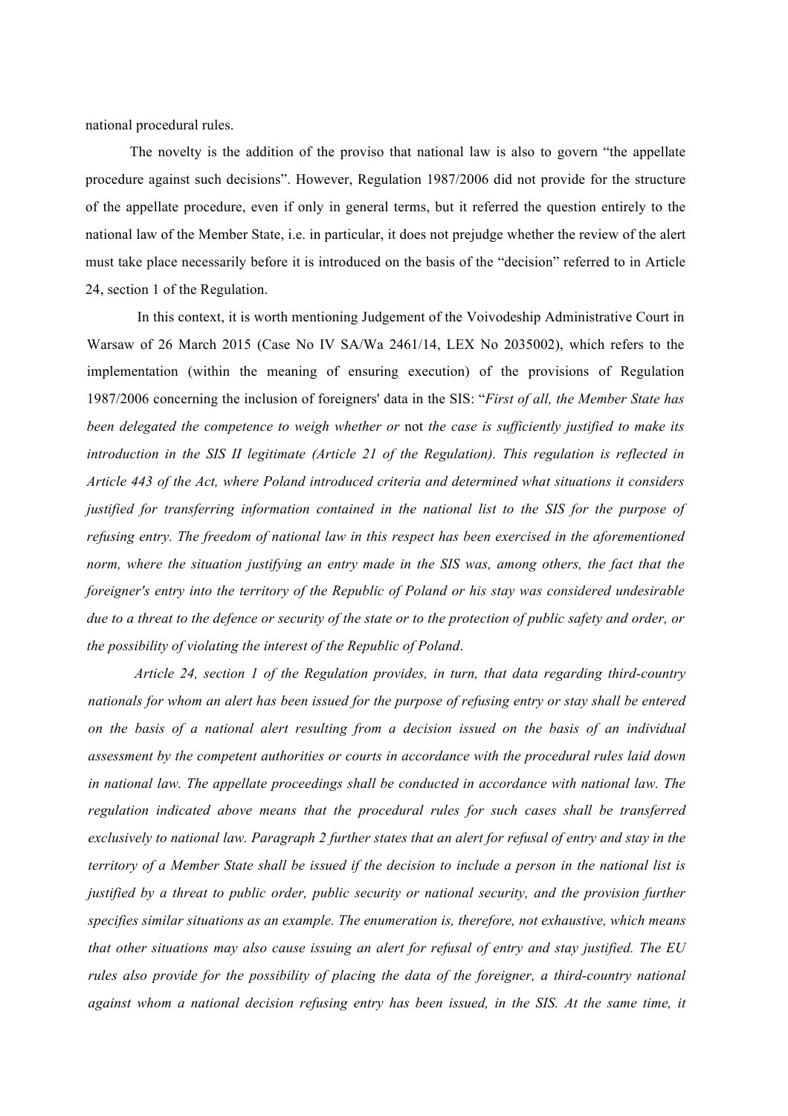national procedural rules.

The novelty is the addition of the proviso that national law is also to govern "the appellate procedure against such decisions". However, Regulation 1987/2006 did not provide for the structure of the appellate procedure, even if only in general terms, but it referred the question entirely to the national law of the Member State, i.e. in particular, it does not prejudge whether the review of the alert must take place necessarily before it is introduced on the basis of the "decision" referred to in Article 24, section 1 of the Regulation.

In this context, it is worth mentioning Judgement of the Voivodeship Administrative Court in Warsaw of 26 March 2015 (Case No IV SA/Wa 2461/14, LEX No 2035002), which refers to the implementation (within the meaning of ensuring execution) of the provisions of Regulation 1987/2006 concerning the inclusion of foreigners' data in the SIS: "*First of all, the Member State has been delegated the competence to weigh whether or* not *the case is sufficiently justified to make its introduction in the SIS II legitimate (Article 21 of the Regulation). This regulation is reflected in Article 443 of the Act, where Poland introduced criteria and determined what situations it considers justified for transferring information contained in the national list to the SIS for the purpose of refusing entry. The freedom of national law in this respect has been exercised in the aforementioned norm, where the situation justifying an entry made in the SIS was, among others, the fact that the foreigner's entry into the territory of the Republic of Poland or his stay was considered undesirable due to a threat to the defence or security of the state or to the protection of public safety and order, or the possibility of violating the interest of the Republic of Poland*.

*Article 24, section 1 of the Regulation provides, in turn, that data regarding third-country nationals for whom an alert has been issued for the purpose of refusing entry or stay shall be entered on the basis of a national alert resulting from a decision issued on the basis of an individual assessment by the competent authorities or courts in accordance with the procedural rules laid down in national law. The appellate proceedings shall be conducted in accordance with national law. The regulation indicated above means that the procedural rules for such cases shall be transferred exclusively to national law. Paragraph 2 further states that an alert for refusal of entry and stay in the territory of a Member State shall be issued if the decision to include a person in the national list is justified by a threat to public order, public security or national security, and the provision further specifies similar situations as an example. The enumeration is, therefore, not exhaustive, which means that other situations may also cause issuing an alert for refusal of entry and stay justified. The EU rules also provide for the possibility of placing the data of the foreigner, a third-country national*  against whom a national decision refusing entry has been issued, in the SIS. At the same time, it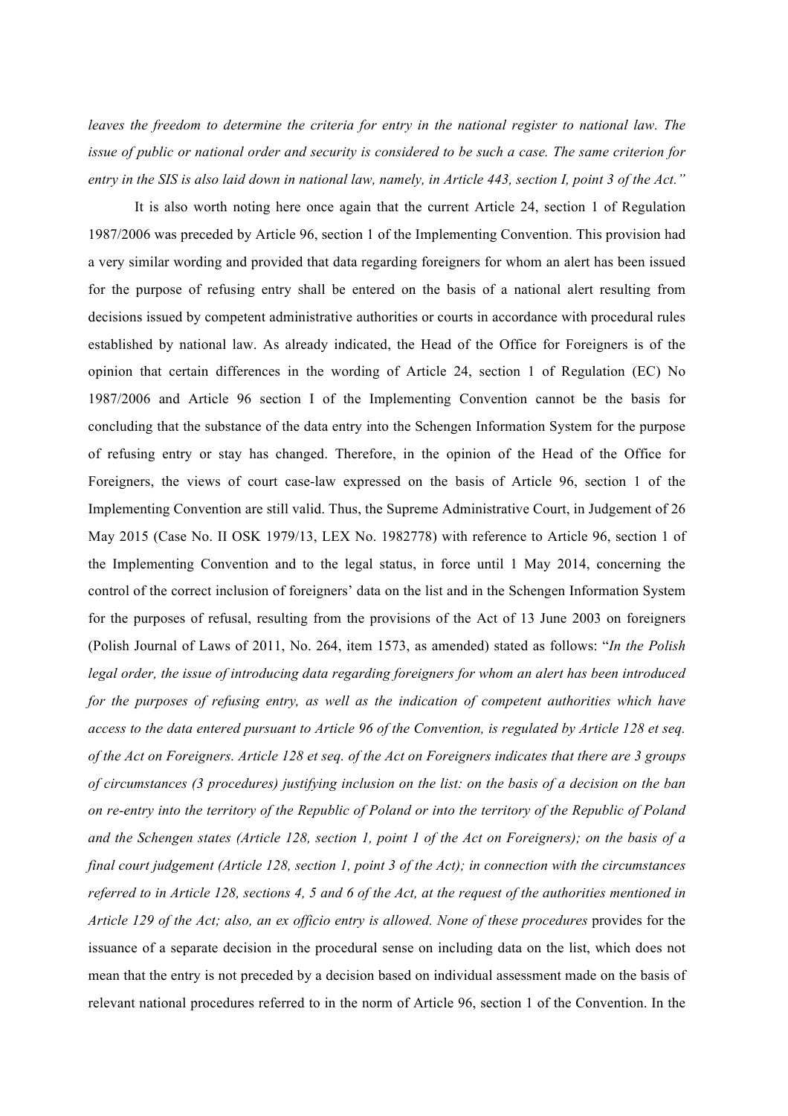*leaves the freedom to determine the criteria for entry in the national register to national law. The issue of public or national order and security is considered to be such a case. The same criterion for entry in the SIS is also laid down in national law, namely, in Article 443, section I, point 3 of the Act."*

It is also worth noting here once again that the current Article 24, section 1 of Regulation 1987/2006 was preceded by Article 96, section 1 of the Implementing Convention. This provision had a very similar wording and provided that data regarding foreigners for whom an alert has been issued for the purpose of refusing entry shall be entered on the basis of a national alert resulting from decisions issued by competent administrative authorities or courts in accordance with procedural rules established by national law. As already indicated, the Head of the Office for Foreigners is of the opinion that certain differences in the wording of Article 24, section 1 of Regulation (EC) No 1987/2006 and Article 96 section I of the Implementing Convention cannot be the basis for concluding that the substance of the data entry into the Schengen Information System for the purpose of refusing entry or stay has changed. Therefore, in the opinion of the Head of the Office for Foreigners, the views of court case-law expressed on the basis of Article 96, section 1 of the Implementing Convention are still valid. Thus, the Supreme Administrative Court, in Judgement of 26 May 2015 (Case No. II OSK 1979/13, LEX No. 1982778) with reference to Article 96, section 1 of the Implementing Convention and to the legal status, in force until 1 May 2014, concerning the control of the correct inclusion of foreigners' data on the list and in the Schengen Information System for the purposes of refusal, resulting from the provisions of the Act of 13 June 2003 on foreigners (Polish Journal of Laws of 2011, No. 264, item 1573, as amended) stated as follows: "*In the Polish legal order, the issue of introducing data regarding foreigners for whom an alert has been introduced for the purposes of refusing entry, as well as the indication of competent authorities which have access to the data entered pursuant to Article 96 of the Convention, is regulated by Article 128 et seq. of the Act on Foreigners. Article 128 et seq. of the Act on Foreigners indicates that there are 3 groups of circumstances (3 procedures) justifying inclusion on the list: on the basis of a decision on the ban on re-entry into the territory of the Republic of Poland or into the territory of the Republic of Poland and the Schengen states (Article 128, section 1, point 1 of the Act on Foreigners); on the basis of a final court judgement (Article 128, section 1, point 3 of the Act); in connection with the circumstances referred to in Article 128, sections 4, 5 and 6 of the Act, at the request of the authorities mentioned in Article 129 of the Act; also, an ex officio entry is allowed. None of these procedures* provides for the issuance of a separate decision in the procedural sense on including data on the list, which does not mean that the entry is not preceded by a decision based on individual assessment made on the basis of relevant national procedures referred to in the norm of Article 96, section 1 of the Convention. In the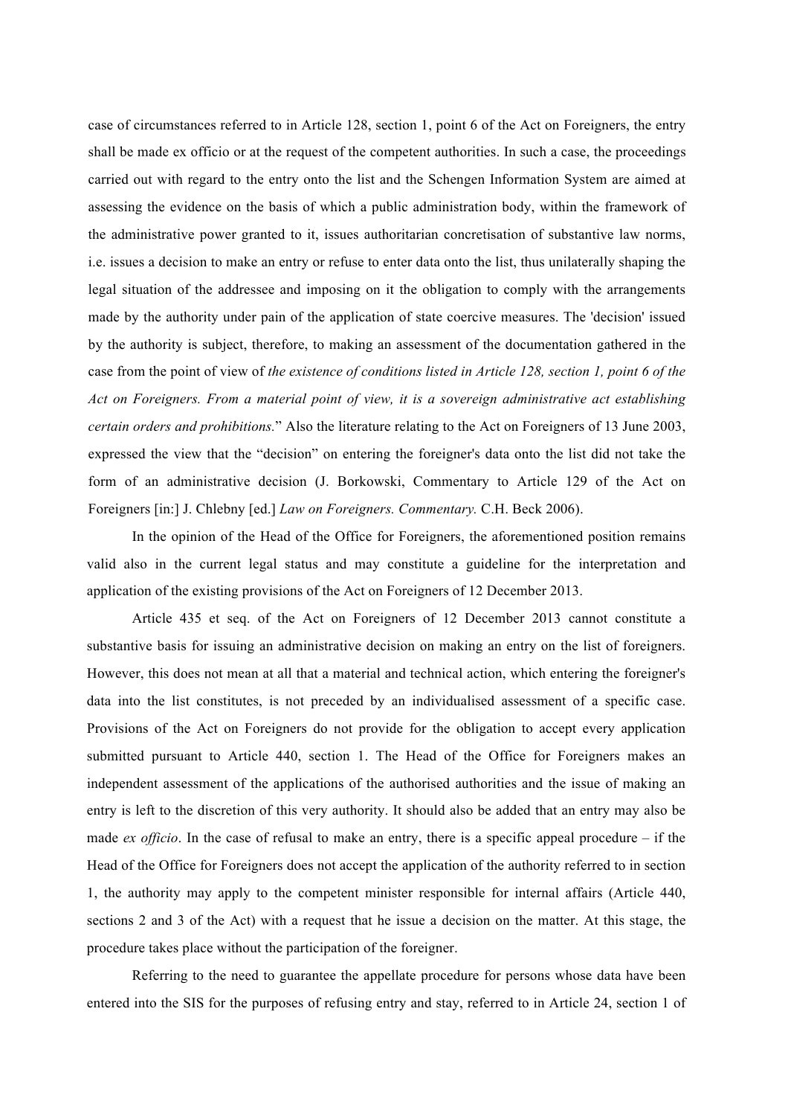case of circumstances referred to in Article 128, section 1, point 6 of the Act on Foreigners, the entry shall be made ex officio or at the request of the competent authorities. In such a case, the proceedings carried out with regard to the entry onto the list and the Schengen Information System are aimed at assessing the evidence on the basis of which a public administration body, within the framework of the administrative power granted to it, issues authoritarian concretisation of substantive law norms, i.e. issues a decision to make an entry or refuse to enter data onto the list, thus unilaterally shaping the legal situation of the addressee and imposing on it the obligation to comply with the arrangements made by the authority under pain of the application of state coercive measures. The 'decision' issued by the authority is subject, therefore, to making an assessment of the documentation gathered in the case from the point of view of *the existence of conditions listed in Article 128, section 1, point 6 of the Act on Foreigners. From a material point of view, it is a sovereign administrative act establishing certain orders and prohibitions.*" Also the literature relating to the Act on Foreigners of 13 June 2003, expressed the view that the "decision" on entering the foreigner's data onto the list did not take the form of an administrative decision (J. Borkowski, Commentary to Article 129 of the Act on Foreigners [in:] J. Chlebny [ed.] *Law on Foreigners. Commentary.* C.H. Beck 2006).

In the opinion of the Head of the Office for Foreigners, the aforementioned position remains valid also in the current legal status and may constitute a guideline for the interpretation and application of the existing provisions of the Act on Foreigners of 12 December 2013.

Article 435 et seq. of the Act on Foreigners of 12 December 2013 cannot constitute a substantive basis for issuing an administrative decision on making an entry on the list of foreigners. However, this does not mean at all that a material and technical action, which entering the foreigner's data into the list constitutes, is not preceded by an individualised assessment of a specific case. Provisions of the Act on Foreigners do not provide for the obligation to accept every application submitted pursuant to Article 440, section 1. The Head of the Office for Foreigners makes an independent assessment of the applications of the authorised authorities and the issue of making an entry is left to the discretion of this very authority. It should also be added that an entry may also be made *ex officio*. In the case of refusal to make an entry, there is a specific appeal procedure – if the Head of the Office for Foreigners does not accept the application of the authority referred to in section 1, the authority may apply to the competent minister responsible for internal affairs (Article 440, sections 2 and 3 of the Act) with a request that he issue a decision on the matter. At this stage, the procedure takes place without the participation of the foreigner.

Referring to the need to guarantee the appellate procedure for persons whose data have been entered into the SIS for the purposes of refusing entry and stay, referred to in Article 24, section 1 of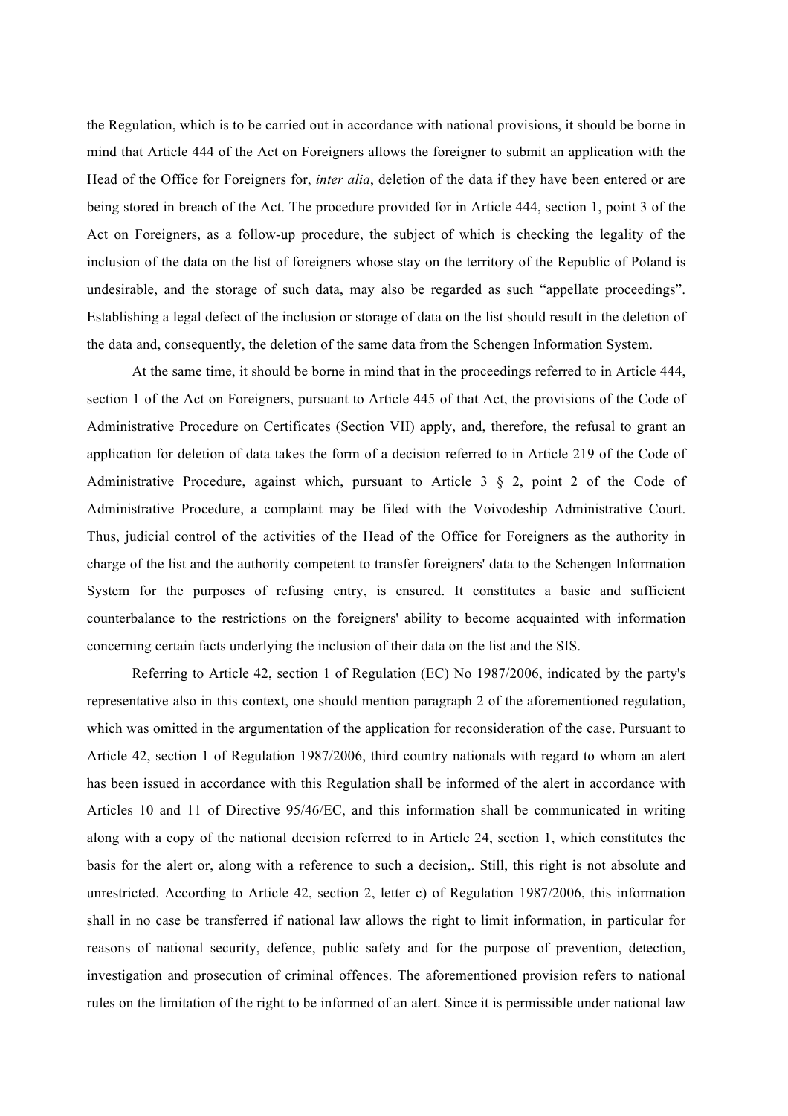the Regulation, which is to be carried out in accordance with national provisions, it should be borne in mind that Article 444 of the Act on Foreigners allows the foreigner to submit an application with the Head of the Office for Foreigners for, *inter alia*, deletion of the data if they have been entered or are being stored in breach of the Act. The procedure provided for in Article 444, section 1, point 3 of the Act on Foreigners, as a follow-up procedure, the subject of which is checking the legality of the inclusion of the data on the list of foreigners whose stay on the territory of the Republic of Poland is undesirable, and the storage of such data, may also be regarded as such "appellate proceedings". Establishing a legal defect of the inclusion or storage of data on the list should result in the deletion of the data and, consequently, the deletion of the same data from the Schengen Information System.

At the same time, it should be borne in mind that in the proceedings referred to in Article 444, section 1 of the Act on Foreigners, pursuant to Article 445 of that Act, the provisions of the Code of Administrative Procedure on Certificates (Section VII) apply, and, therefore, the refusal to grant an application for deletion of data takes the form of a decision referred to in Article 219 of the Code of Administrative Procedure, against which, pursuant to Article 3 § 2, point 2 of the Code of Administrative Procedure, a complaint may be filed with the Voivodeship Administrative Court. Thus, judicial control of the activities of the Head of the Office for Foreigners as the authority in charge of the list and the authority competent to transfer foreigners' data to the Schengen Information System for the purposes of refusing entry, is ensured. It constitutes a basic and sufficient counterbalance to the restrictions on the foreigners' ability to become acquainted with information concerning certain facts underlying the inclusion of their data on the list and the SIS.

Referring to Article 42, section 1 of Regulation (EC) No 1987/2006, indicated by the party's representative also in this context, one should mention paragraph 2 of the aforementioned regulation, which was omitted in the argumentation of the application for reconsideration of the case. Pursuant to Article 42, section 1 of Regulation 1987/2006, third country nationals with regard to whom an alert has been issued in accordance with this Regulation shall be informed of the alert in accordance with Articles 10 and 11 of Directive 95/46/EC, and this information shall be communicated in writing along with a copy of the national decision referred to in Article 24, section 1, which constitutes the basis for the alert or, along with a reference to such a decision,. Still, this right is not absolute and unrestricted. According to Article 42, section 2, letter c) of Regulation 1987/2006, this information shall in no case be transferred if national law allows the right to limit information, in particular for reasons of national security, defence, public safety and for the purpose of prevention, detection, investigation and prosecution of criminal offences. The aforementioned provision refers to national rules on the limitation of the right to be informed of an alert. Since it is permissible under national law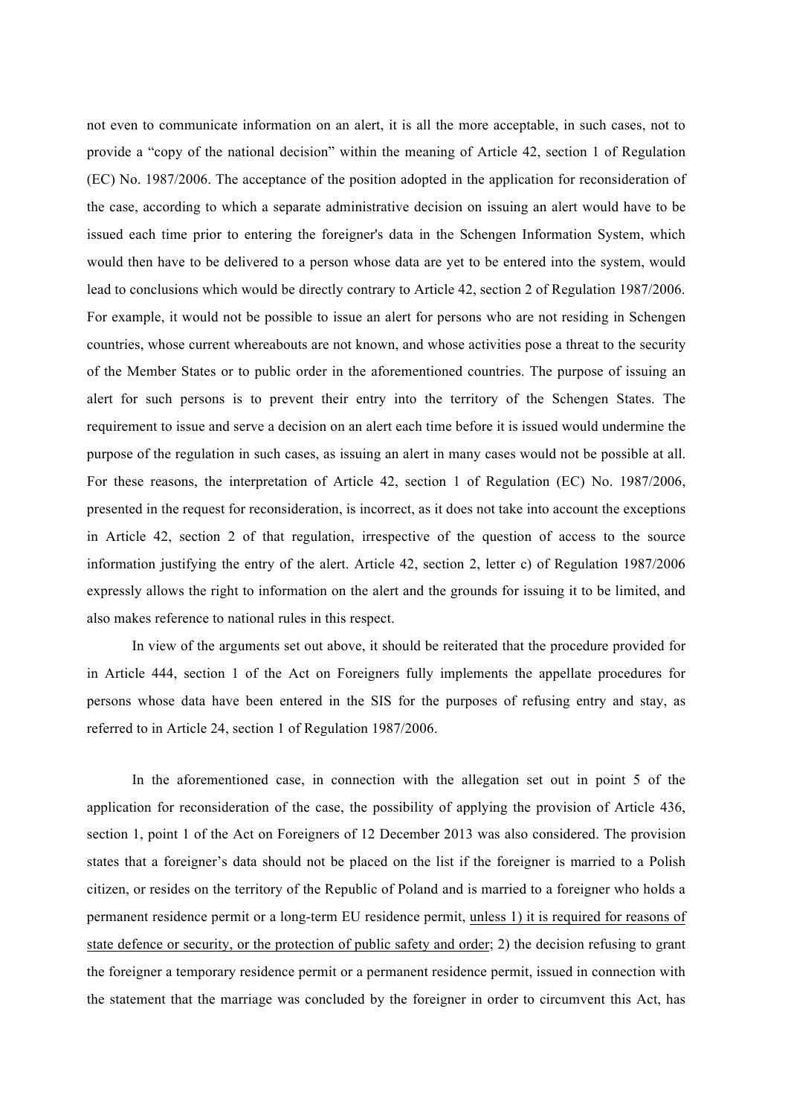not even to communicate information on an alert, it is all the more acceptable, in such cases, not to provide a "copy of the national decision" within the meaning of Article 42, section 1 of Regulation (EC) No. 1987/2006. The acceptance of the position adopted in the application for reconsideration of the case, according to which a separate administrative decision on issuing an alert would have to be issued each time prior to entering the foreigner's data in the Schengen Information System, which would then have to be delivered to a person whose data are yet to be entered into the system, would lead to conclusions which would be directly contrary to Article 42, section 2 of Regulation 1987/2006. For example, it would not be possible to issue an alert for persons who are not residing in Schengen countries, whose current whereabouts are not known, and whose activities pose a threat to the security of the Member States or to public order in the aforementioned countries. The purpose of issuing an alert for such persons is to prevent their entry into the territory of the Schengen States. The requirement to issue and serve a decision on an alert each time before it is issued would undermine the purpose of the regulation in such cases, as issuing an alert in many cases would not be possible at all. For these reasons, the interpretation of Article 42, section 1 of Regulation (EC) No. 1987/2006, presented in the request for reconsideration, is incorrect, as it does not take into account the exceptions in Article 42, section 2 of that regulation, irrespective of the question of access to the source information justifying the entry of the alert. Article 42, section 2, letter c) of Regulation 1987/2006 expressly allows the right to information on the alert and the grounds for issuing it to be limited, and also makes reference to national rules in this respect.

In view of the arguments set out above, it should be reiterated that the procedure provided for in Article 444, section 1 of the Act on Foreigners fully implements the appellate procedures for persons whose data have been entered in the SIS for the purposes of refusing entry and stay, as referred to in Article 24, section 1 of Regulation 1987/2006.

In the aforementioned case, in connection with the allegation set out in point 5 of the application for reconsideration of the case, the possibility of applying the provision of Article 436, section 1, point 1 of the Act on Foreigners of 12 December 2013 was also considered. The provision states that a foreigner's data should not be placed on the list if the foreigner is married to a Polish citizen, or resides on the territory of the Republic of Poland and is married to a foreigner who holds a permanent residence permit or a long-term EU residence permit, unless 1) it is required for reasons of state defence or security, or the protection of public safety and order; 2) the decision refusing to grant the foreigner a temporary residence permit or a permanent residence permit, issued in connection with the statement that the marriage was concluded by the foreigner in order to circumvent this Act, has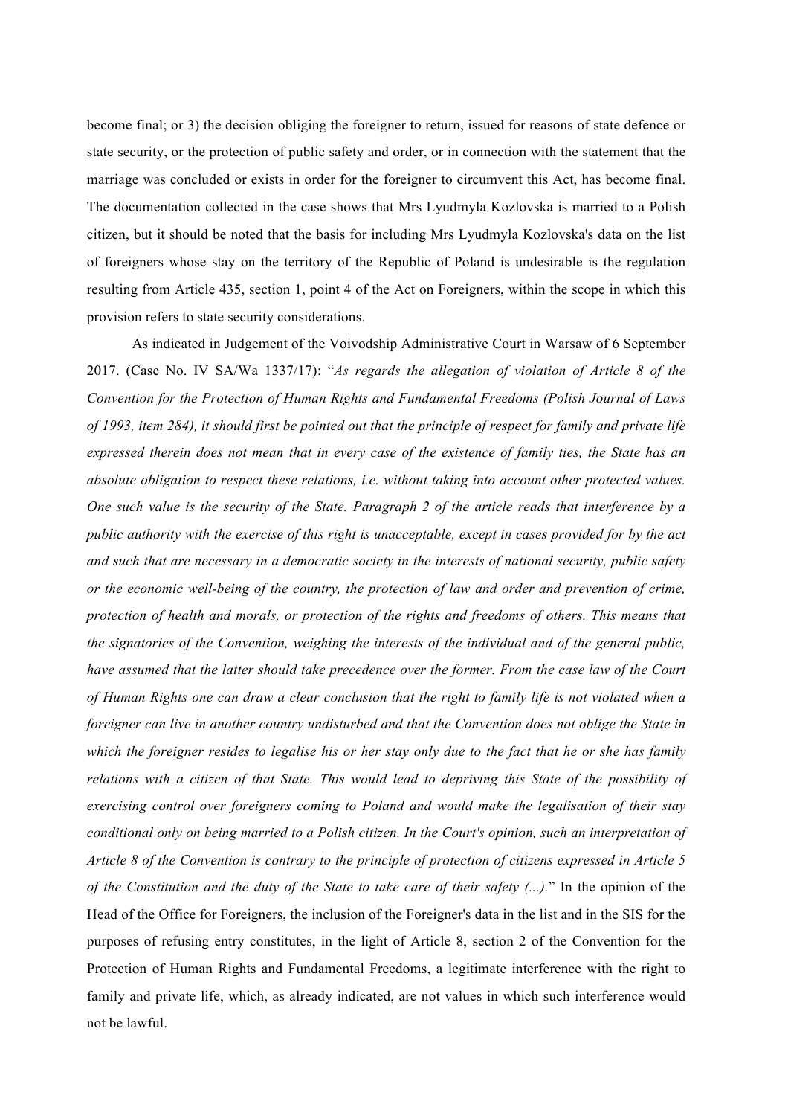become final; or 3) the decision obliging the foreigner to return, issued for reasons of state defence or state security, or the protection of public safety and order, or in connection with the statement that the marriage was concluded or exists in order for the foreigner to circumvent this Act, has become final. The documentation collected in the case shows that Mrs Lyudmyla Kozlovska is married to a Polish citizen, but it should be noted that the basis for including Mrs Lyudmyla Kozlovska's data on the list of foreigners whose stay on the territory of the Republic of Poland is undesirable is the regulation resulting from Article 435, section 1, point 4 of the Act on Foreigners, within the scope in which this provision refers to state security considerations.

As indicated in Judgement of the Voivodship Administrative Court in Warsaw of 6 September 2017. (Case No. IV SA/Wa 1337/17): "*As regards the allegation of violation of Article 8 of the Convention for the Protection of Human Rights and Fundamental Freedoms (Polish Journal of Laws of 1993, item 284), it should first be pointed out that the principle of respect for family and private life expressed therein does not mean that in every case of the existence of family ties, the State has an absolute obligation to respect these relations, i.e. without taking into account other protected values. One such value is the security of the State. Paragraph 2 of the article reads that interference by a public authority with the exercise of this right is unacceptable, except in cases provided for by the act and such that are necessary in a democratic society in the interests of national security, public safety or the economic well-being of the country, the protection of law and order and prevention of crime, protection of health and morals, or protection of the rights and freedoms of others. This means that the signatories of the Convention, weighing the interests of the individual and of the general public, have assumed that the latter should take precedence over the former. From the case law of the Court of Human Rights one can draw a clear conclusion that the right to family life is not violated when a foreigner can live in another country undisturbed and that the Convention does not oblige the State in which the foreigner resides to legalise his or her stay only due to the fact that he or she has family relations with a citizen of that State. This would lead to depriving this State of the possibility of exercising control over foreigners coming to Poland and would make the legalisation of their stay conditional only on being married to a Polish citizen. In the Court's opinion, such an interpretation of Article 8 of the Convention is contrary to the principle of protection of citizens expressed in Article 5 of the Constitution and the duty of the State to take care of their safety (...).*" In the opinion of the Head of the Office for Foreigners, the inclusion of the Foreigner's data in the list and in the SIS for the purposes of refusing entry constitutes, in the light of Article 8, section 2 of the Convention for the Protection of Human Rights and Fundamental Freedoms, a legitimate interference with the right to family and private life, which, as already indicated, are not values in which such interference would not be lawful.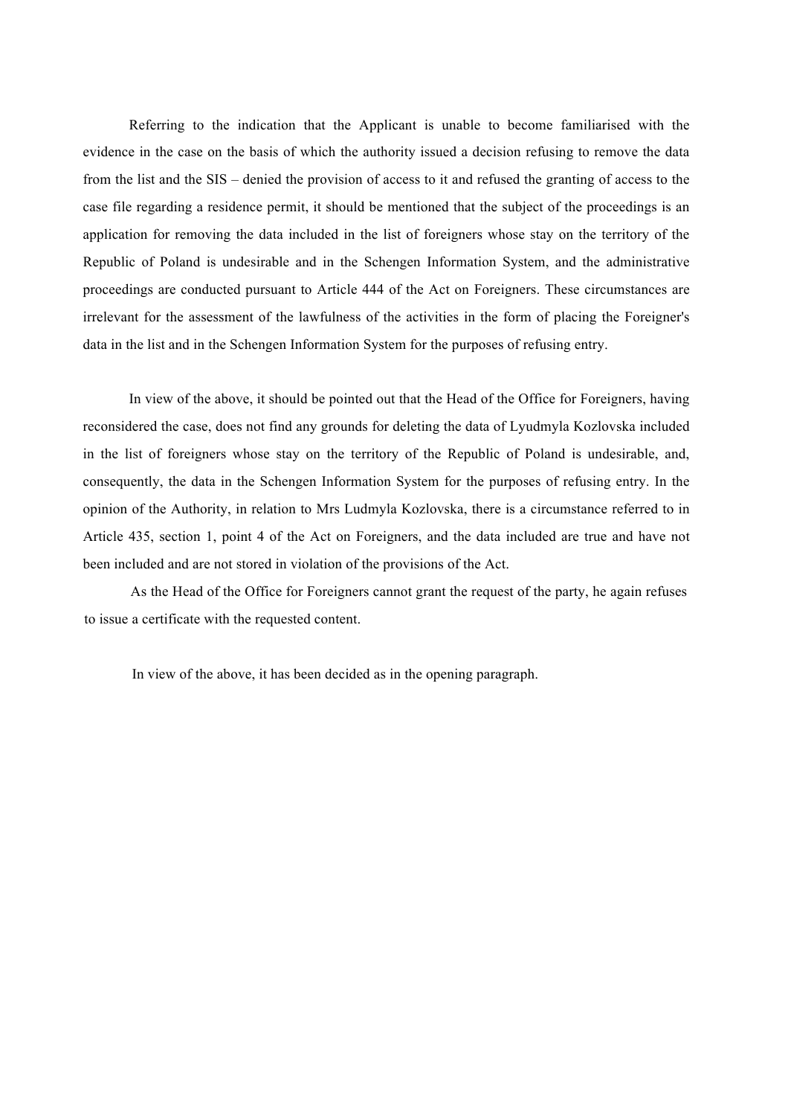Referring to the indication that the Applicant is unable to become familiarised with the evidence in the case on the basis of which the authority issued a decision refusing to remove the data from the list and the SIS – denied the provision of access to it and refused the granting of access to the case file regarding a residence permit, it should be mentioned that the subject of the proceedings is an application for removing the data included in the list of foreigners whose stay on the territory of the Republic of Poland is undesirable and in the Schengen Information System, and the administrative proceedings are conducted pursuant to Article 444 of the Act on Foreigners. These circumstances are irrelevant for the assessment of the lawfulness of the activities in the form of placing the Foreigner's data in the list and in the Schengen Information System for the purposes of refusing entry.

In view of the above, it should be pointed out that the Head of the Office for Foreigners, having reconsidered the case, does not find any grounds for deleting the data of Lyudmyla Kozlovska included in the list of foreigners whose stay on the territory of the Republic of Poland is undesirable, and, consequently, the data in the Schengen Information System for the purposes of refusing entry. In the opinion of the Authority, in relation to Mrs Ludmyla Kozlovska, there is a circumstance referred to in Article 435, section 1, point 4 of the Act on Foreigners, and the data included are true and have not been included and are not stored in violation of the provisions of the Act.

As the Head of the Office for Foreigners cannot grant the request of the party, he again refuses to issue a certificate with the requested content.

In view of the above, it has been decided as in the opening paragraph.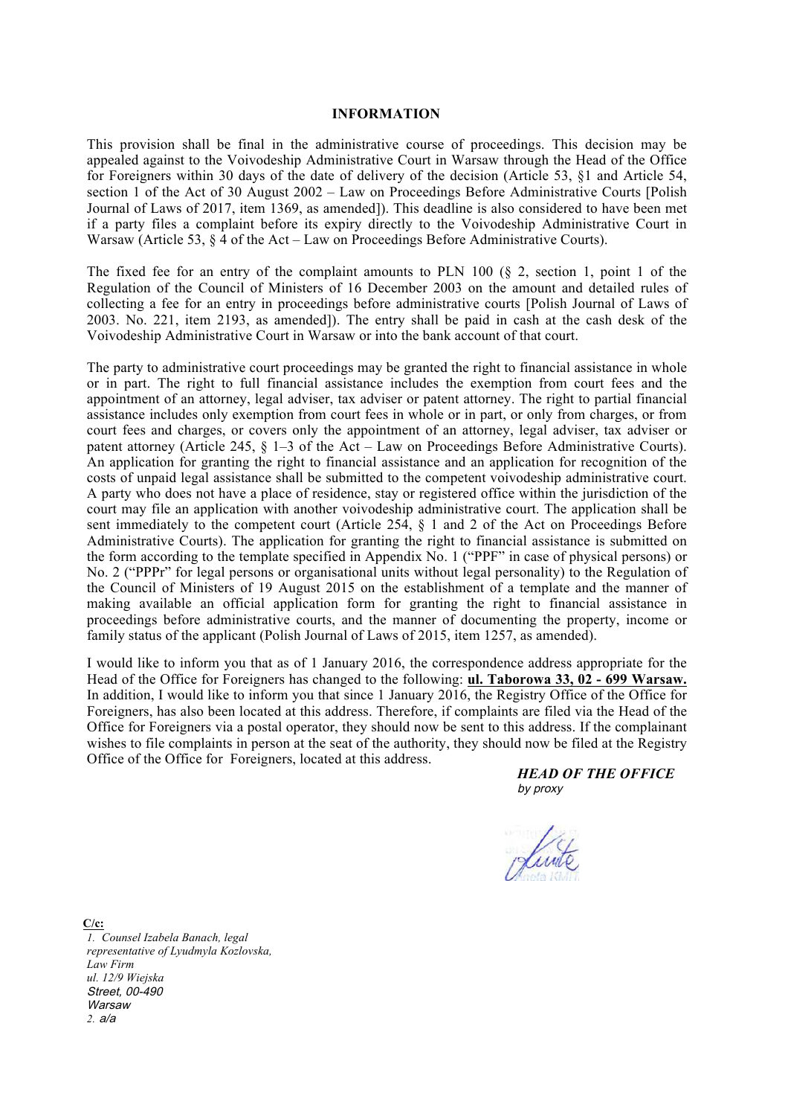### **INFORMATION**

This provision shall be final in the administrative course of proceedings. This decision may be appealed against to the Voivodeship Administrative Court in Warsaw through the Head of the Office for Foreigners within 30 days of the date of delivery of the decision (Article 53, §1 and Article 54, section 1 of the Act of 30 August 2002 – Law on Proceedings Before Administrative Courts [Polish Journal of Laws of 2017, item 1369, as amended]). This deadline is also considered to have been met if a party files a complaint before its expiry directly to the Voivodeship Administrative Court in Warsaw (Article 53,  $\hat{\S}$  4 of the Act – Law on Proceedings Before Administrative Courts).

The fixed fee for an entry of the complaint amounts to PLN 100 (§ 2, section 1, point 1 of the Regulation of the Council of Ministers of 16 December 2003 on the amount and detailed rules of collecting a fee for an entry in proceedings before administrative courts [Polish Journal of Laws of 2003. No. 221, item 2193, as amended]). The entry shall be paid in cash at the cash desk of the Voivodeship Administrative Court in Warsaw or into the bank account of that court.

The party to administrative court proceedings may be granted the right to financial assistance in whole or in part. The right to full financial assistance includes the exemption from court fees and the appointment of an attorney, legal adviser, tax adviser or patent attorney. The right to partial financial assistance includes only exemption from court fees in whole or in part, or only from charges, or from court fees and charges, or covers only the appointment of an attorney, legal adviser, tax adviser or patent attorney (Article 245, § 1–3 of the Act – Law on Proceedings Before Administrative Courts). An application for granting the right to financial assistance and an application for recognition of the costs of unpaid legal assistance shall be submitted to the competent voivodeship administrative court. A party who does not have a place of residence, stay or registered office within the jurisdiction of the court may file an application with another voivodeship administrative court. The application shall be sent immediately to the competent court (Article 254, § 1 and 2 of the Act on Proceedings Before Administrative Courts). The application for granting the right to financial assistance is submitted on the form according to the template specified in Appendix No. 1 ("PPF" in case of physical persons) or No. 2 ("PPPr" for legal persons or organisational units without legal personality) to the Regulation of the Council of Ministers of 19 August 2015 on the establishment of a template and the manner of making available an official application form for granting the right to financial assistance in proceedings before administrative courts, and the manner of documenting the property, income or family status of the applicant (Polish Journal of Laws of 2015, item 1257, as amended).

I would like to inform you that as of 1 January 2016, the correspondence address appropriate for the Head of the Office for Foreigners has changed to the following: **ul. Taborowa 33, 02 - 699 Warsaw.** In addition, I would like to inform you that since 1 January 2016, the Registry Office of the Office for Foreigners, has also been located at this address. Therefore, if complaints are filed via the Head of the Office for Foreigners via a postal operator, they should now be sent to this address. If the complainant wishes to file complaints in person at the seat of the authority, they should now be filed at the Registry Office of the Office for Foreigners, located at this address.

> *HEAD OF THE OFFICE* by proxy



**C/c:** *1. Counsel Izabela Banach, legal representative of Lyudmyla Kozlovska, Law Firm ul. 12/9 Wiejska* Street, 00-490 **Warsaw** *2.* a/a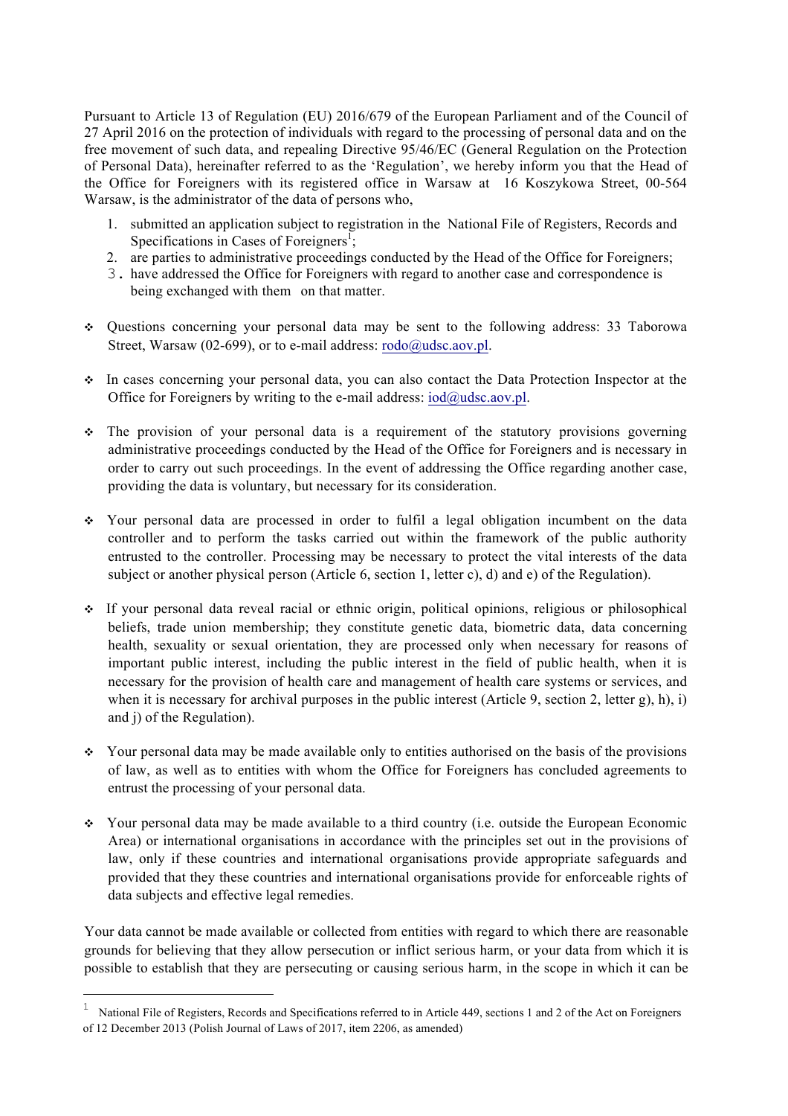Pursuant to Article 13 of Regulation (EU) 2016/679 of the European Parliament and of the Council of 27 April 2016 on the protection of individuals with regard to the processing of personal data and on the free movement of such data, and repealing Directive 95/46/EC (General Regulation on the Protection of Personal Data), hereinafter referred to as the 'Regulation', we hereby inform you that the Head of the Office for Foreigners with its registered office in Warsaw at 16 Koszykowa Street, 00-564 Warsaw, is the administrator of the data of persons who,

- 1. submitted an application subject to registration in the National File of Registers, Records and Specifications in Cases of Foreigners<sup>1</sup>;
- 2. are parties to administrative proceedings conducted by the Head of the Office for Foreigners;
- 3. have addressed the Office for Foreigners with regard to another case and correspondence is being exchanged with them on that matter.
- ❖ Questions concerning your personal data may be sent to the following address: 33 Taborowa Street, Warsaw (02-699), or to e-mail address: rodo@udsc.aov.pl.
- ❖ In cases concerning your personal data, you can also contact the Data Protection Inspector at the Office for Foreigners by writing to the e-mail address:  $iod@u$ dsc.aov.pl.
- ❖ The provision of your personal data is a requirement of the statutory provisions governing administrative proceedings conducted by the Head of the Office for Foreigners and is necessary in order to carry out such proceedings. In the event of addressing the Office regarding another case, providing the data is voluntary, but necessary for its consideration.
- ❖ Your personal data are processed in order to fulfil a legal obligation incumbent on the data controller and to perform the tasks carried out within the framework of the public authority entrusted to the controller. Processing may be necessary to protect the vital interests of the data subject or another physical person (Article 6, section 1, letter c), d) and e) of the Regulation).
- ❖ If your personal data reveal racial or ethnic origin, political opinions, religious or philosophical beliefs, trade union membership; they constitute genetic data, biometric data, data concerning health, sexuality or sexual orientation, they are processed only when necessary for reasons of important public interest, including the public interest in the field of public health, when it is necessary for the provision of health care and management of health care systems or services, and when it is necessary for archival purposes in the public interest (Article 9, section 2, letter g), h), i) and j) of the Regulation).
- $\div$  Your personal data may be made available only to entities authorised on the basis of the provisions of law, as well as to entities with whom the Office for Foreigners has concluded agreements to entrust the processing of your personal data.
- ❖ Your personal data may be made available to a third country (i.e. outside the European Economic Area) or international organisations in accordance with the principles set out in the provisions of law, only if these countries and international organisations provide appropriate safeguards and provided that they these countries and international organisations provide for enforceable rights of data subjects and effective legal remedies.

Your data cannot be made available or collected from entities with regard to which there are reasonable grounds for believing that they allow persecution or inflict serious harm, or your data from which it is possible to establish that they are persecuting or causing serious harm, in the scope in which it can be

i<br>Li

<sup>1</sup> National File of Registers, Records and Specifications referred to in Article 449, sections 1 and 2 of the Act on Foreigners of 12 December 2013 (Polish Journal of Laws of 2017, item 2206, as amended)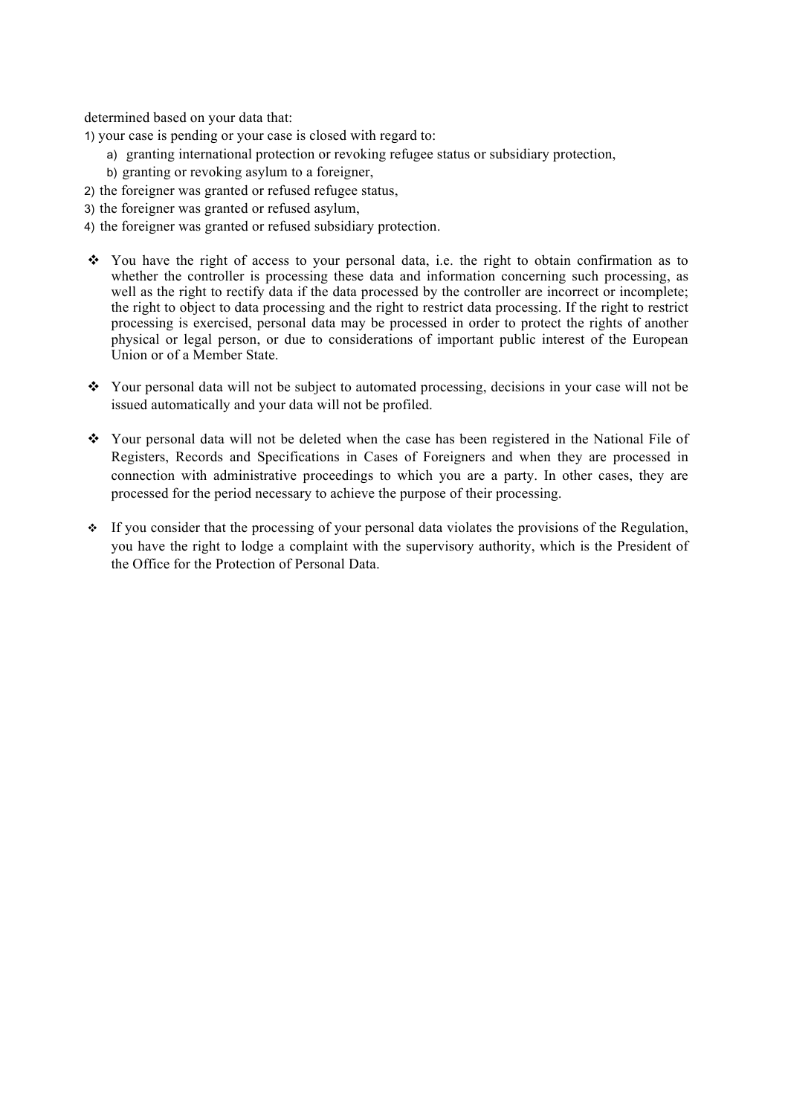determined based on your data that:

1) your case is pending or your case is closed with regard to:

- a) granting international protection or revoking refugee status or subsidiary protection,
- b) granting or revoking asylum to a foreigner,
- 2) the foreigner was granted or refused refugee status,
- 3) the foreigner was granted or refused asylum,
- 4) the foreigner was granted or refused subsidiary protection.
- $\cdot \cdot$  You have the right of access to your personal data, i.e. the right to obtain confirmation as to whether the controller is processing these data and information concerning such processing, as well as the right to rectify data if the data processed by the controller are incorrect or incomplete; the right to object to data processing and the right to restrict data processing. If the right to restrict processing is exercised, personal data may be processed in order to protect the rights of another physical or legal person, or due to considerations of important public interest of the European Union or of a Member State.
- ! Your personal data will not be subject to automated processing, decisions in your case will not be issued automatically and your data will not be profiled.
- ! Your personal data will not be deleted when the case has been registered in the National File of Registers, Records and Specifications in Cases of Foreigners and when they are processed in connection with administrative proceedings to which you are a party. In other cases, they are processed for the period necessary to achieve the purpose of their processing.
- ! If you consider that the processing of your personal data violates the provisions of the Regulation, you have the right to lodge a complaint with the supervisory authority, which is the President of the Office for the Protection of Personal Data.